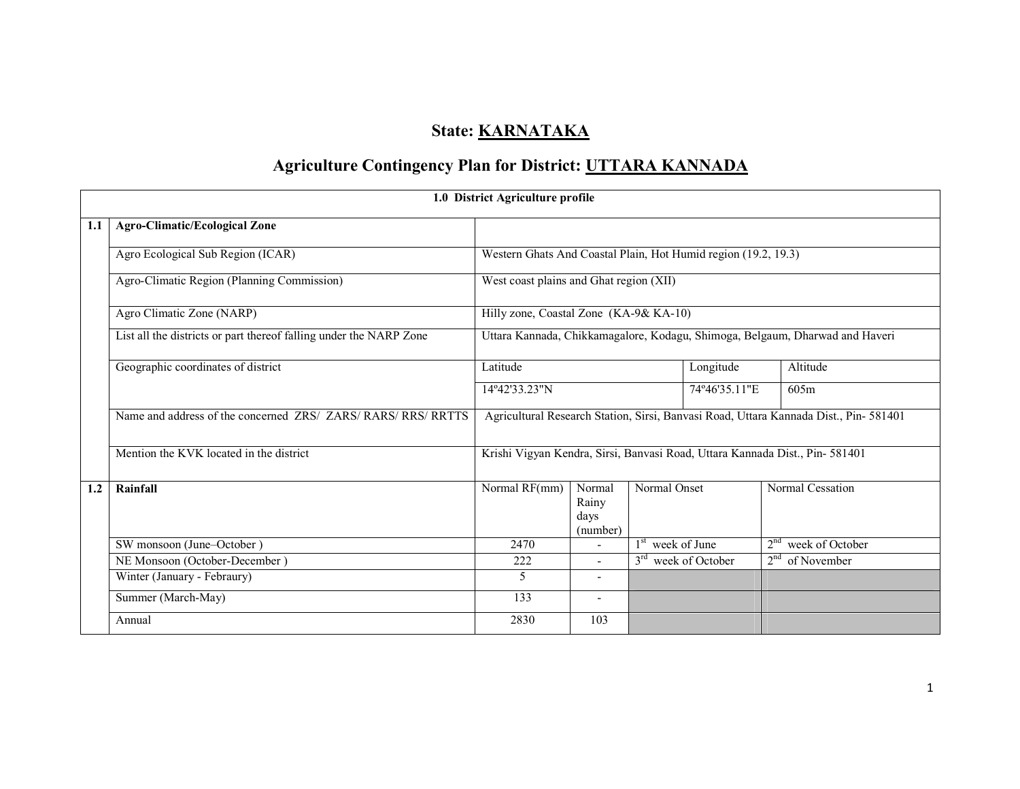# State: **KARNATAKA**

# Agriculture Contingency Plan for District: UTTARA KANNADA

|     |                                                                    | 1.0 District Agriculture profile                               |                                     |                    |                                 |                                                                                       |  |  |
|-----|--------------------------------------------------------------------|----------------------------------------------------------------|-------------------------------------|--------------------|---------------------------------|---------------------------------------------------------------------------------------|--|--|
| 1.1 | <b>Agro-Climatic/Ecological Zone</b>                               |                                                                |                                     |                    |                                 |                                                                                       |  |  |
|     | Agro Ecological Sub Region (ICAR)                                  | Western Ghats And Coastal Plain, Hot Humid region (19.2, 19.3) |                                     |                    |                                 |                                                                                       |  |  |
|     | Agro-Climatic Region (Planning Commission)                         | West coast plains and Ghat region (XII)                        |                                     |                    |                                 |                                                                                       |  |  |
|     | Agro Climatic Zone (NARP)                                          | Hilly zone, Coastal Zone (KA-9& KA-10)                         |                                     |                    |                                 |                                                                                       |  |  |
|     | List all the districts or part thereof falling under the NARP Zone |                                                                |                                     |                    |                                 | Uttara Kannada, Chikkamagalore, Kodagu, Shimoga, Belgaum, Dharwad and Haveri          |  |  |
|     | Geographic coordinates of district                                 | Latitude                                                       |                                     |                    | Longitude                       | Altitude                                                                              |  |  |
|     |                                                                    | 14°42'33.23"N                                                  |                                     |                    | 74°46'35.11"E                   | 605m                                                                                  |  |  |
|     | Name and address of the concerned ZRS/ ZARS/ RARS/ RRS/ RRTTS      |                                                                |                                     |                    |                                 | Agricultural Research Station, Sirsi, Banvasi Road, Uttara Kannada Dist., Pin- 581401 |  |  |
|     | Mention the KVK located in the district                            |                                                                |                                     |                    |                                 | Krishi Vigyan Kendra, Sirsi, Banvasi Road, Uttara Kannada Dist., Pin-581401           |  |  |
| 1.2 | Rainfall                                                           | Normal RF(mm)                                                  | Normal<br>Rainy<br>days<br>(number) | Normal Onset       |                                 | Normal Cessation                                                                      |  |  |
|     | SW monsoon (June-October)                                          | 2470                                                           |                                     | $1st$ week of June |                                 | $2nd$ week of October                                                                 |  |  |
|     | NE Monsoon (October-December)                                      | 222                                                            | $\blacksquare$                      |                    | 3 <sup>rd</sup> week of October | $2nd$ of November                                                                     |  |  |
|     | Winter (January - Febraury)                                        | 5                                                              | $\overline{\phantom{a}}$            |                    |                                 |                                                                                       |  |  |
|     | Summer (March-May)                                                 | 133                                                            | $\overline{\phantom{a}}$            |                    |                                 |                                                                                       |  |  |
|     | Annual                                                             | 2830                                                           | 103                                 |                    |                                 |                                                                                       |  |  |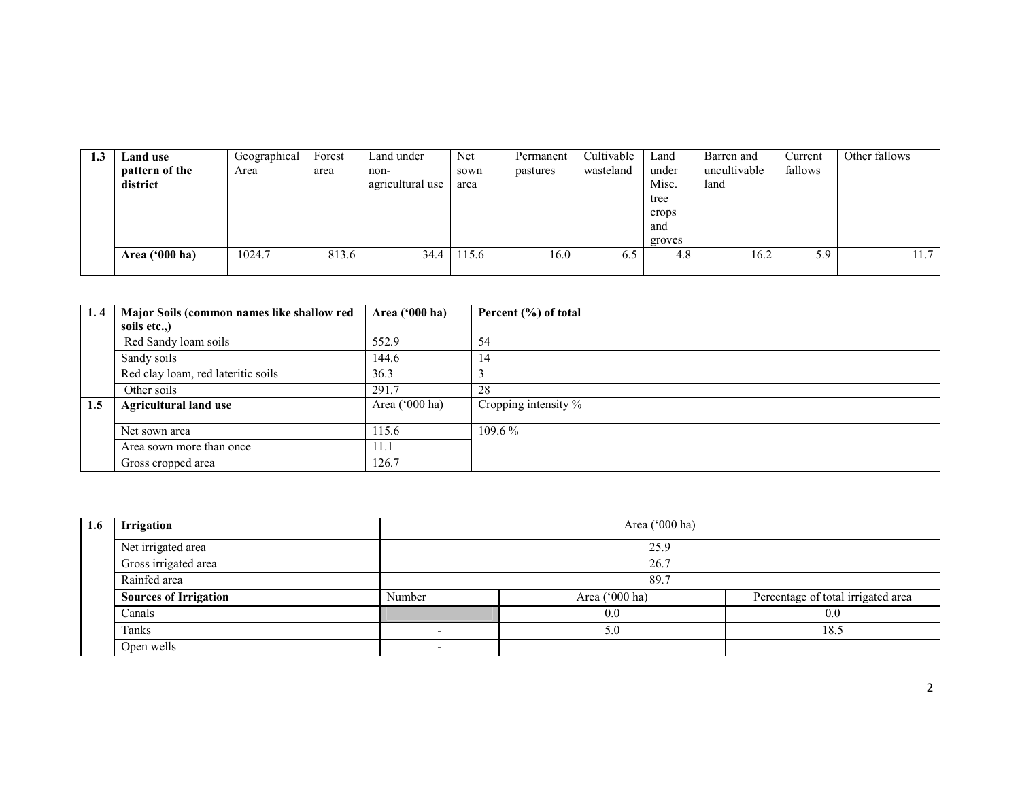| L.J | Land use       | Geographical | Forest | Land under       | Net   | Permanent | Cultivable | Land   | Barren and   | Current | Other fallows |
|-----|----------------|--------------|--------|------------------|-------|-----------|------------|--------|--------------|---------|---------------|
|     | pattern of the | Area         | area   | non-             | sown  | pastures  | wasteland  | under  | uncultivable | fallows |               |
|     | district       |              |        | agricultural use | area  |           |            | Misc.  | land         |         |               |
|     |                |              |        |                  |       |           |            | tree   |              |         |               |
|     |                |              |        |                  |       |           |            | crops  |              |         |               |
|     |                |              |        |                  |       |           |            | and    |              |         |               |
|     |                |              |        |                  |       |           |            | groves |              |         |               |
|     | Area ('000 ha) | 1024.7       | 813.6  | 34.4             | 115.6 | 16.0      | 6.5        | 4.8    | 16.2         | 5.9     | 11.7          |
|     |                |              |        |                  |       |           |            |        |              |         |               |

| 1.4 | Major Soils (common names like shallow red | Area $(900 \text{ ha})$ | Percent (%) of total |
|-----|--------------------------------------------|-------------------------|----------------------|
|     | soils etc.,)                               |                         |                      |
|     | Red Sandy loam soils                       | 552.9                   | 54                   |
|     | Sandy soils                                | 144.6                   | 14                   |
|     | Red clay loam, red lateritic soils         | 36.3                    |                      |
|     | Other soils                                | 291.7                   | 28                   |
| 1.5 | <b>Agricultural land use</b>               | Area $(^{\circ}000$ ha) | Cropping intensity % |
|     |                                            |                         |                      |
|     | Net sown area                              | 115.6                   | $109.6\%$            |
|     | Area sown more than once                   | 11.1                    |                      |
|     | Gross cropped area                         | 126.7                   |                      |

| 1.6 | <b>Irrigation</b>            |        | Area ('000 ha) |                                    |  |  |  |  |  |
|-----|------------------------------|--------|----------------|------------------------------------|--|--|--|--|--|
|     | Net irrigated area           |        | 25.9           |                                    |  |  |  |  |  |
|     | Gross irrigated area         |        | 26.7           |                                    |  |  |  |  |  |
|     | Rainfed area                 |        | 89.7           |                                    |  |  |  |  |  |
|     | <b>Sources of Irrigation</b> | Number | Area ('000 ha) | Percentage of total irrigated area |  |  |  |  |  |
|     | Canals                       |        | 0.0            | 0.0                                |  |  |  |  |  |
|     | Tanks                        |        | 5.0            | 18.5                               |  |  |  |  |  |
|     | Open wells                   |        |                |                                    |  |  |  |  |  |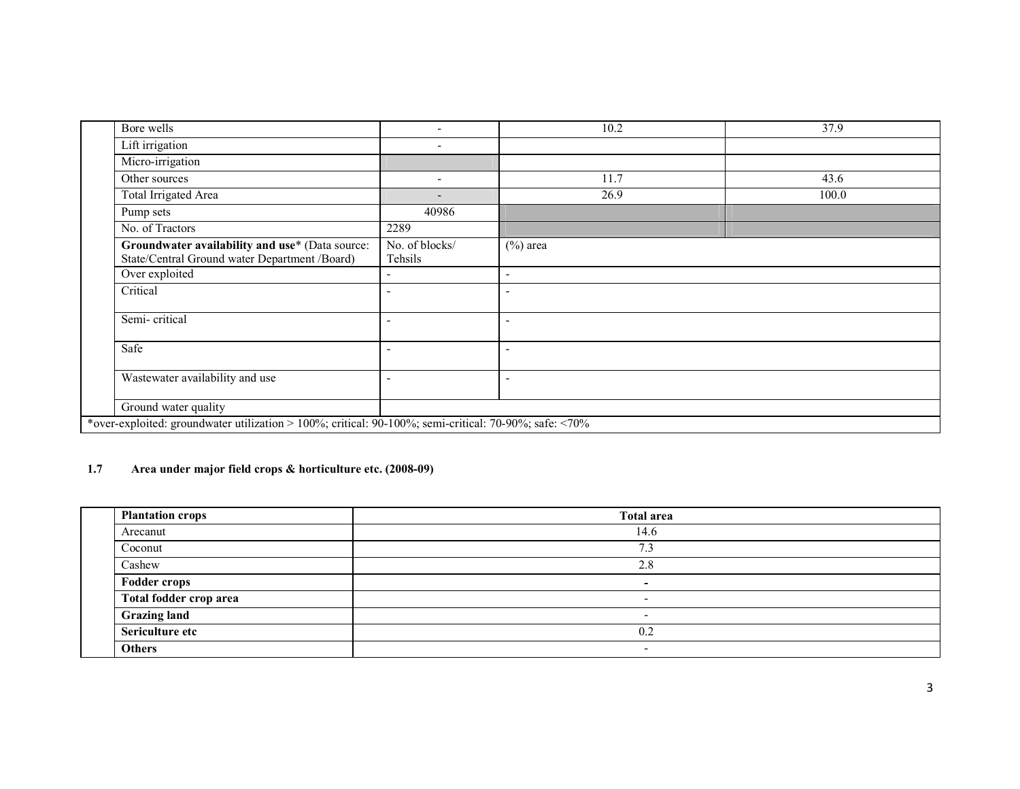| Bore wells                                                                                            | $\overline{\phantom{a}}$  | 10.2                                                                | 37.9  |  |  |
|-------------------------------------------------------------------------------------------------------|---------------------------|---------------------------------------------------------------------|-------|--|--|
| Lift irrigation                                                                                       | $\overline{\phantom{a}}$  |                                                                     |       |  |  |
| Micro-irrigation                                                                                      |                           |                                                                     |       |  |  |
| Other sources                                                                                         | $\overline{\phantom{a}}$  | 11.7                                                                | 43.6  |  |  |
| Total Irrigated Area                                                                                  | $\overline{\phantom{a}}$  | 26.9                                                                | 100.0 |  |  |
| Pump sets                                                                                             | 40986                     |                                                                     |       |  |  |
| No. of Tractors                                                                                       | 2289                      |                                                                     |       |  |  |
| Groundwater availability and use* (Data source:<br>State/Central Ground water Department /Board)      | No. of blocks/<br>Tehsils | $(\%)$ area<br>$\overline{\phantom{a}}$<br>$\overline{\phantom{a}}$ |       |  |  |
| Over exploited                                                                                        |                           |                                                                     |       |  |  |
| Critical                                                                                              | $\overline{\phantom{a}}$  |                                                                     |       |  |  |
| Semi-critical                                                                                         |                           | $\overline{\phantom{0}}$                                            |       |  |  |
| Safe                                                                                                  | $\overline{\phantom{a}}$  | $\overline{\phantom{a}}$                                            |       |  |  |
| Wastewater availability and use                                                                       | $\overline{\phantom{a}}$  | $\overline{\phantom{0}}$                                            |       |  |  |
| Ground water quality                                                                                  |                           |                                                                     |       |  |  |
| *over-exploited: groundwater utilization > 100%; critical: 90-100%; semi-critical: 70-90%; safe: <70% |                           |                                                                     |       |  |  |

#### 1.7 Area under major field crops & horticulture etc. (2008-09)

| <b>Plantation crops</b> | <b>Total area</b>        |
|-------------------------|--------------------------|
| Arecanut                | 14.6                     |
| Coconut                 | $\sim$<br>د. ا           |
| Cashew                  | 2.8                      |
| <b>Fodder crops</b>     | -                        |
| Total fodder crop area  | $\overline{\phantom{a}}$ |
| <b>Grazing land</b>     | $\overline{\phantom{a}}$ |
| Sericulture etc         | 0.2                      |
| <b>Others</b>           |                          |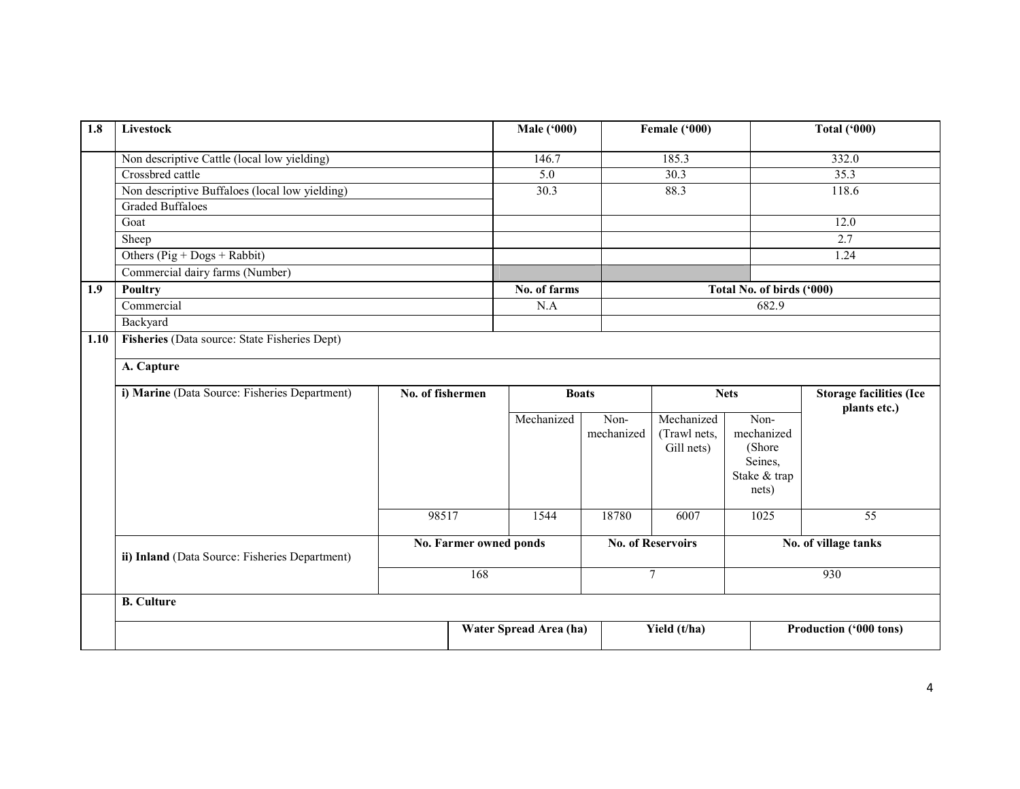| 1.8  | <b>Livestock</b>                               |                  |                               | <b>Male ('000)</b>     |            | Female ('000)            |                           | <b>Total ('000)</b>                            |  |
|------|------------------------------------------------|------------------|-------------------------------|------------------------|------------|--------------------------|---------------------------|------------------------------------------------|--|
|      | Non descriptive Cattle (local low yielding)    |                  |                               | 146.7                  |            | 185.3                    |                           | 332.0                                          |  |
|      | Crossbred cattle                               |                  |                               | 5.0                    |            | 30.3                     |                           | 35.3                                           |  |
|      | Non descriptive Buffaloes (local low yielding) |                  |                               | 30.3                   |            | 88.3                     |                           | 118.6                                          |  |
|      | <b>Graded Buffaloes</b>                        |                  |                               |                        |            |                          |                           |                                                |  |
|      | Goat                                           |                  |                               |                        |            |                          |                           | 12.0                                           |  |
|      | Sheep                                          |                  |                               |                        |            |                          |                           | 2.7                                            |  |
|      | Others ( $Pig + Dogs + Rabbit$ )               |                  |                               |                        |            |                          |                           | 1.24                                           |  |
|      | Commercial dairy farms (Number)                |                  |                               |                        |            |                          |                           |                                                |  |
| 1.9  | <b>Poultry</b>                                 |                  |                               | No. of farms           |            |                          | Total No. of birds ('000) |                                                |  |
|      | Commercial                                     |                  |                               | N.A                    |            | 682.9                    |                           |                                                |  |
|      | Backyard                                       |                  |                               |                        |            |                          |                           |                                                |  |
| 1.10 | Fisheries (Data source: State Fisheries Dept)  |                  |                               |                        |            |                          |                           |                                                |  |
|      | A. Capture                                     |                  |                               |                        |            |                          |                           |                                                |  |
|      | i) Marine (Data Source: Fisheries Department)  | No. of fishermen |                               | <b>Boats</b>           |            | <b>Nets</b>              |                           | <b>Storage facilities (Ice</b><br>plants etc.) |  |
|      |                                                |                  |                               | Mechanized             | Non-       | Mechanized               | Non-                      |                                                |  |
|      |                                                |                  |                               |                        | mechanized | (Trawl nets,             | mechanized                |                                                |  |
|      |                                                |                  |                               |                        |            | Gill nets)               | (Shore<br>Seines,         |                                                |  |
|      |                                                |                  |                               |                        |            |                          | Stake & trap              |                                                |  |
|      |                                                |                  |                               |                        |            |                          | nets)                     |                                                |  |
|      |                                                | 98517            |                               | 1544                   | 18780      | 6007                     | 1025                      | $\overline{55}$                                |  |
|      |                                                |                  |                               |                        |            |                          |                           |                                                |  |
|      | ii) Inland (Data Source: Fisheries Department) |                  | <b>No. Farmer owned ponds</b> |                        |            | <b>No. of Reservoirs</b> |                           | No. of village tanks                           |  |
|      |                                                |                  | 168                           |                        |            | $7\phantom{.0}$          |                           | 930                                            |  |
|      | <b>B.</b> Culture                              |                  |                               |                        |            |                          |                           |                                                |  |
|      |                                                |                  |                               | Water Spread Area (ha) |            | Yield (t/ha)             |                           | Production ('000 tons)                         |  |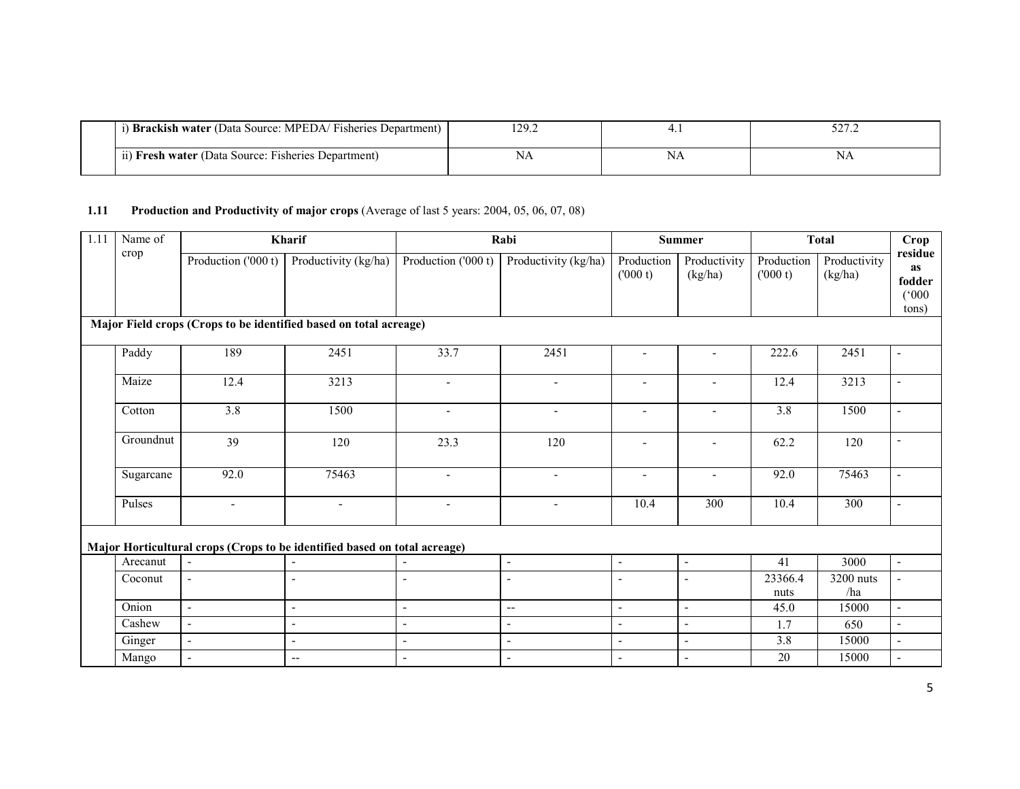| <b>Brackish water</b> (Data Source: MPEDA/Fisheries Department) | $\overline{20}$<br>. |              | $\overline{\phantom{a}}$<br>ے ، ایک ب |
|-----------------------------------------------------------------|----------------------|--------------|---------------------------------------|
| (ii) Fresh water (Data Source: Fisheries Department)            | INA                  | NΔ<br>. 42 J | IΝA                                   |

#### 1.11 Production and Productivity of major crops (Average of last 5 years: 2004, 05, 06, 07, 08)

| 1.11 | Name of   |                          | Kharif                                                                    |                          | Rabi                     |                              | <b>Summer</b>            | <b>Total</b>          |                         | Crop                                             |
|------|-----------|--------------------------|---------------------------------------------------------------------------|--------------------------|--------------------------|------------------------------|--------------------------|-----------------------|-------------------------|--------------------------------------------------|
|      | crop      | Production ('000 t)      | Productivity (kg/ha)                                                      | Production ('000 t)      | Productivity (kg/ha)     | Production<br>(000 t)        | Productivity<br>(kg/ha)  | Production<br>(000 t) | Productivity<br>(kg/ha) | residue<br><b>as</b><br>fodder<br>(000)<br>tons) |
|      |           |                          | Major Field crops (Crops to be identified based on total acreage)         |                          |                          |                              |                          |                       |                         |                                                  |
|      | Paddy     | 189                      | 2451                                                                      | 33.7                     | 2451                     | $\overline{a}$               |                          | 222.6                 | 2451                    |                                                  |
|      | Maize     | 12.4                     | 3213                                                                      | $\overline{\phantom{a}}$ | $\overline{\phantom{a}}$ | $\blacksquare$               | $\blacksquare$           | 12.4                  | 3213                    | $\blacksquare$                                   |
|      | Cotton    | 3.8                      | 1500                                                                      | $\overline{\phantom{a}}$ |                          | $\qquad \qquad \blacksquare$ |                          | 3.8                   | 1500                    |                                                  |
|      | Groundnut | 39                       | 120                                                                       | 23.3                     | 120                      | $\overline{\phantom{a}}$     | $\overline{\phantom{a}}$ | 62.2                  | 120                     | $\blacksquare$                                   |
|      | Sugarcane | 92.0                     | 75463                                                                     | $\overline{\phantom{a}}$ | $\overline{\phantom{a}}$ | $\overline{\phantom{a}}$     | $\overline{\phantom{a}}$ | 92.0                  | 75463                   | $\blacksquare$                                   |
|      | Pulses    | $\overline{\phantom{a}}$ | $\overline{\phantom{a}}$                                                  | $\blacksquare$           |                          | 10.4                         | $\overline{300}$         | 10.4                  | $\overline{300}$        | $\overline{a}$                                   |
|      |           |                          | Major Horticultural crops (Crops to be identified based on total acreage) |                          |                          |                              |                          |                       |                         |                                                  |
|      | Arecanut  | $\sim$                   | $\blacksquare$                                                            |                          | $\sim$                   | $\overline{\phantom{a}}$     | $\blacksquare$           | 41                    | 3000                    | $\blacksquare$                                   |
|      | Coconut   | $\blacksquare$           | $\overline{a}$                                                            | $\overline{a}$           | $\overline{\phantom{a}}$ |                              | $\blacksquare$           | 23366.4<br>nuts       | 3200 nuts<br>/ha        |                                                  |
|      | Onion     | $\mathbf{r}$             | $\blacksquare$                                                            | $\blacksquare$           | $\overline{\phantom{a}}$ | $\blacksquare$               | $\blacksquare$           | 45.0                  | 15000                   | $\mathbf{r}$                                     |
|      | Cashew    | $\sim$                   | $\blacksquare$                                                            | $\blacksquare$           | $\blacksquare$           | $\sim$                       | $\blacksquare$           | 1.7                   | 650                     | $\overline{a}$                                   |
|      | Ginger    | $\blacksquare$           | $\blacksquare$                                                            | $\blacksquare$           | $\blacksquare$           | $\sim$                       | $\blacksquare$           | 3.8                   | 15000                   | $\Delta$                                         |
|      | Mango     | $\sim$                   | $\hspace{0.05cm} -\hspace{0.05cm} -\hspace{0.05cm}$                       | $\blacksquare$           |                          |                              | $\blacksquare$           | 20                    | 15000                   |                                                  |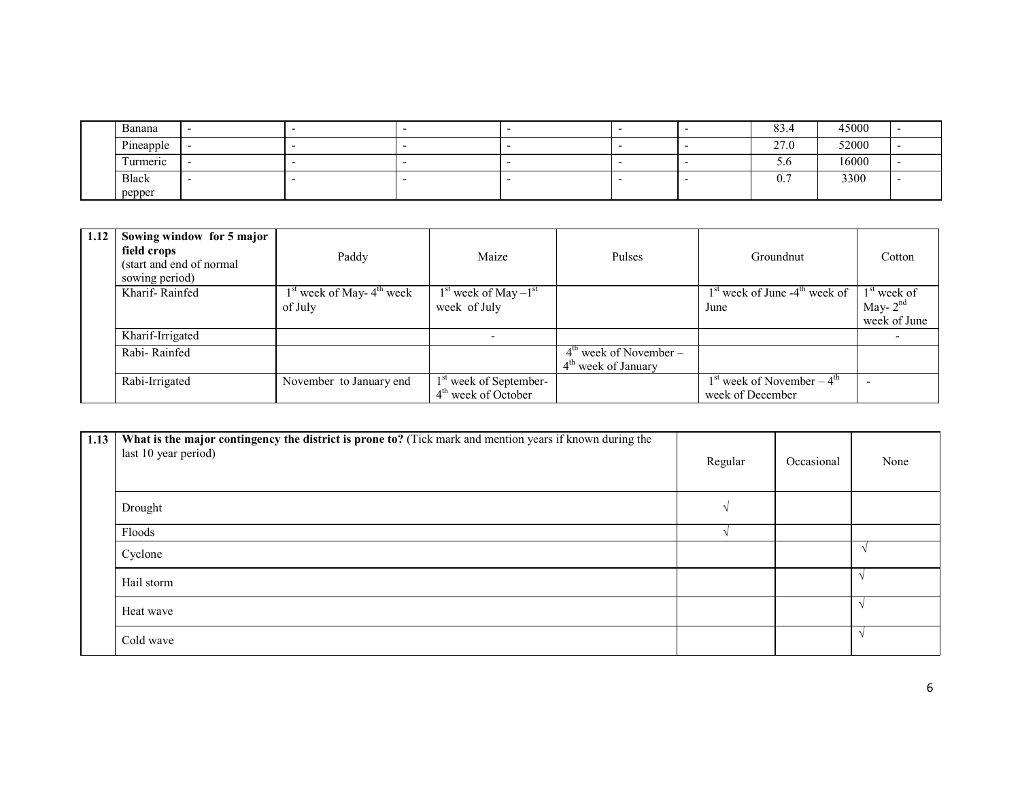| Banana    | - |  |  | $\Omega$<br>83.4 | 45000 |  |
|-----------|---|--|--|------------------|-------|--|
| Pineapple |   |  |  | 27.0             | 52000 |  |
| Turmeric  | - |  |  | J.U              | 16000 |  |
| Black     |   |  |  | $\mathbf{v}$ .   | 3300  |  |
| pepper    |   |  |  |                  |       |  |

| 1.12 | Sowing window for 5 major<br>field crops<br>(start and end of normal)<br>sowing period) | Paddy                         | Maize                              | <b>Pulses</b>                      | Groundnut                                   | Cotton        |
|------|-----------------------------------------------------------------------------------------|-------------------------------|------------------------------------|------------------------------------|---------------------------------------------|---------------|
|      | Kharif-Rainfed                                                                          | $1st$ week of May- $4th$ week | $1st$ week of May $-1st$           |                                    | $1st$ week of June -4 <sup>th</sup> week of | $1st$ week of |
|      |                                                                                         | of July                       | week of July                       |                                    | June                                        | May- $2^{nd}$ |
|      |                                                                                         |                               |                                    |                                    |                                             | week of June  |
|      | Kharif-Irrigated                                                                        |                               |                                    |                                    |                                             |               |
|      | Rabi-Rainfed                                                                            |                               |                                    | $4^{\text{th}}$ week of November – |                                             |               |
|      |                                                                                         |                               |                                    | $4th$ week of January              |                                             |               |
|      | Rabi-Irrigated                                                                          | November to January end       | 1 <sup>st</sup> week of September- |                                    | $1st$ week of November – $4th$              |               |
|      |                                                                                         |                               | 4 <sup>th</sup> week of October    |                                    | week of December                            |               |

| 1.13 | What is the major contingency the district is prone to? (Tick mark and mention years if known during the<br>last 10 year period) | Regular  | Occasional | None |
|------|----------------------------------------------------------------------------------------------------------------------------------|----------|------------|------|
|      | Drought                                                                                                                          | $\Delta$ |            |      |
|      | Floods                                                                                                                           |          |            |      |
|      | Cyclone                                                                                                                          |          |            |      |
|      | Hail storm                                                                                                                       |          |            |      |
|      | Heat wave                                                                                                                        |          |            |      |
|      | Cold wave                                                                                                                        |          |            |      |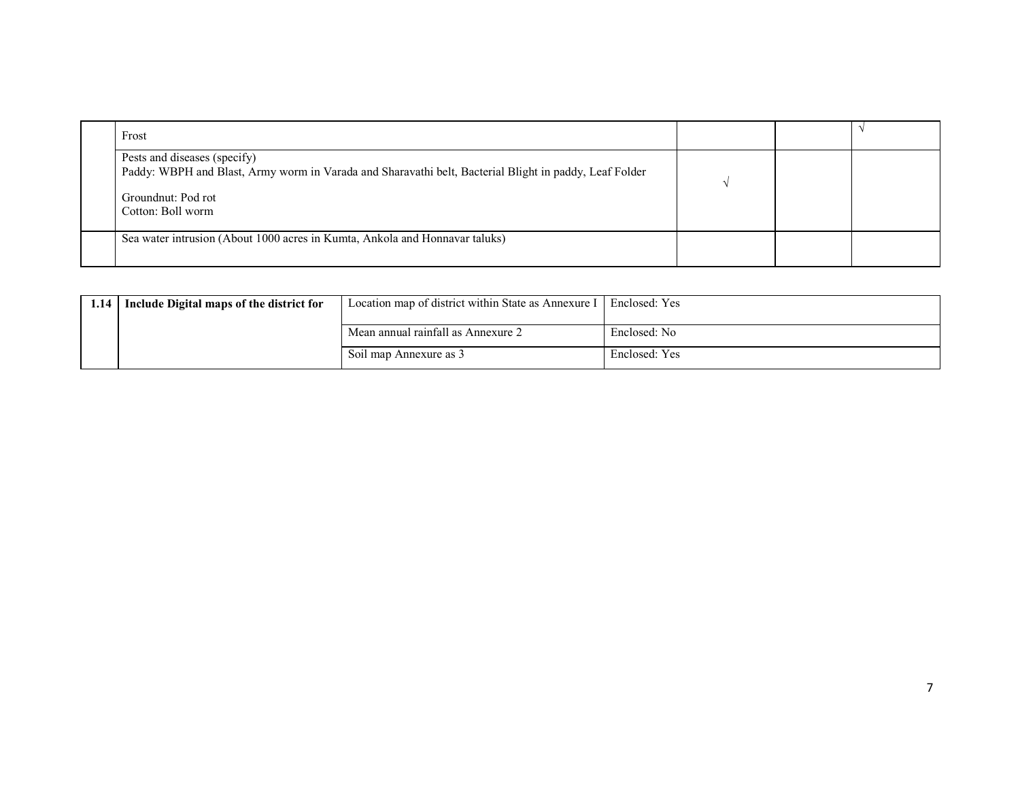| Frost                                                                                                                                                                             |  |  |
|-----------------------------------------------------------------------------------------------------------------------------------------------------------------------------------|--|--|
| Pests and diseases (specify)<br>Paddy: WBPH and Blast, Army worm in Varada and Sharavathi belt, Bacterial Blight in paddy, Leaf Folder<br>Groundnut: Pod rot<br>Cotton: Boll worm |  |  |
| Sea water intrusion (About 1000 acres in Kumta, Ankola and Honnavar taluks)                                                                                                       |  |  |

| 1.14 | Include Digital maps of the district for | Location map of district within State as Annexure I   Enclosed: Yes |               |
|------|------------------------------------------|---------------------------------------------------------------------|---------------|
|      |                                          | Mean annual rainfall as Annexure 2                                  | Enclosed: No  |
|      |                                          | Soil map Annexure as 3                                              | Enclosed: Yes |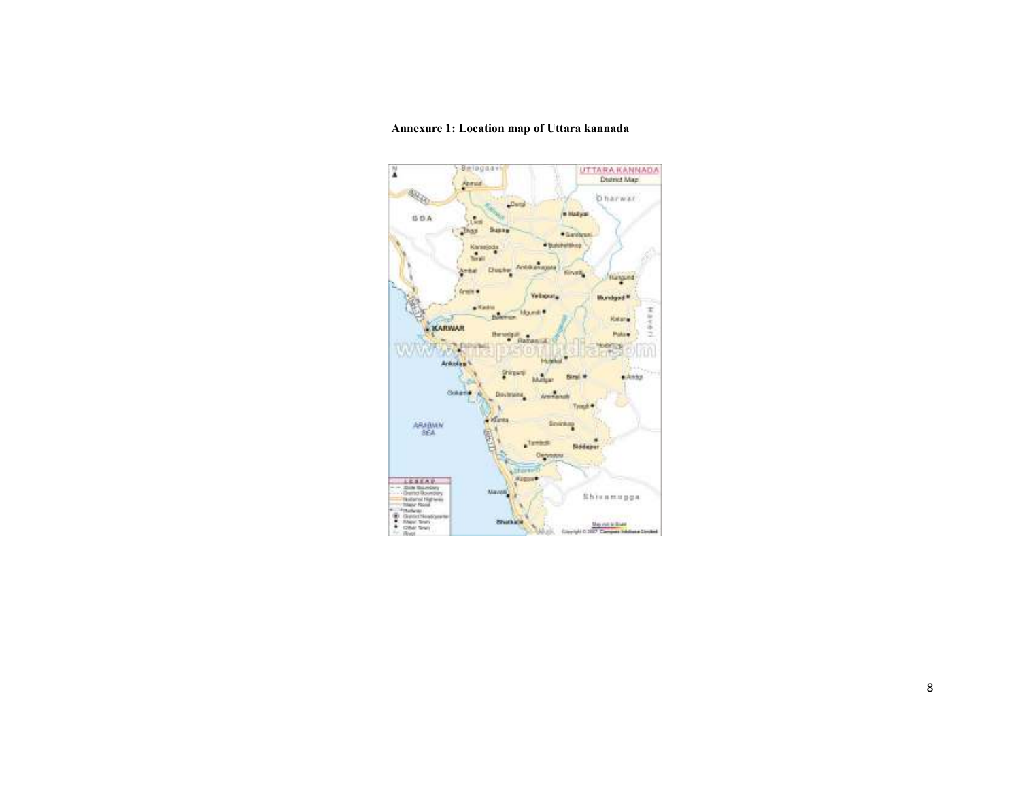#### $-9$  riagaav UTTARA KANNADA N Arrest **ROD Dharwar**  $L$  with *<u>Allahyan</u>*  $\mathbf{L}_{\mathrm{in}}$ **SOA**  $_{\rm{D}}$ Susta **\*Services** . Balanetting Karagata  $\frac{1}{2\pi}$ Duste Antoningen  $2 + 6$ **Kindik** Hangund Aren's **Yetique<sub>n</sub> Mundaivi M**  $\bullet$  Name **Mount:** phones. **Katarie** KARWAR ŝ Bevelan<br>Paranca Police **WAY** DE F **MAGES Charles**  $\tau_A \tau$ Armolan<sup>4</sup> Gripped  $\bullet$  Avity **Wallen** Siral.W **OWNER** Devisions. American Tyrest \*  $\alpha$  Massa **Sinickay** ARABMIN  $\mathfrak{g}$ <u>neight</u>  $t$  resists: General es. **Alfano**  $\begin{tabular}{r|c|c} \hline & E.S.I.A.P.\\ \hline & Bob Inorder\\ & Output\\ & Output\\ & Output\\ & Theorem\\ & Theorem\\ & A. Inorder\\ & B. Inorder\\ & C. Inorder\\ & D. Inorder\\ & D. Inorder\\ & D. Inorder\\ & D. Inorder\\ & D. Inorder\\ \hline \end{tabular}$  $A = 1$ **Mayon** Shienmuppa **Bruthlor** .<br>Copyright C.2007 Company February Lincolnet

#### Annexure 1: Location map of Uttara kannada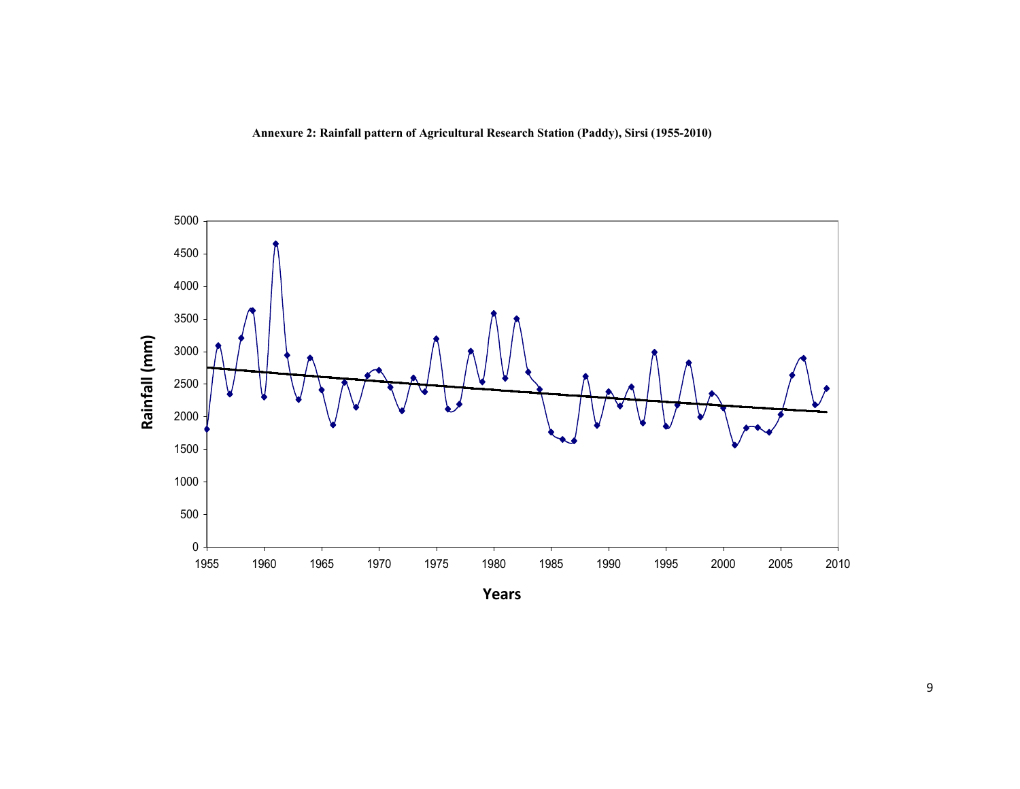Annexure 2: Rainfall pattern of Agricultural Research Station (Paddy), Sirsi (1955-2010)

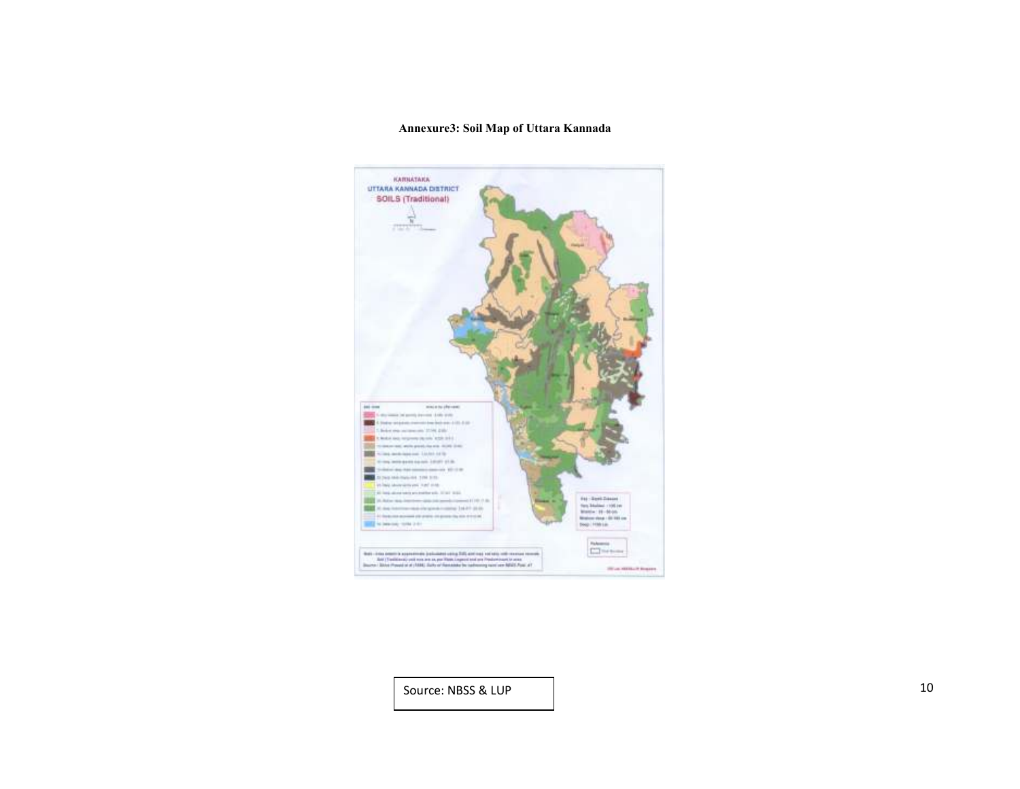#### Annexure3: Soil Map of Uttara Kannada



Source: NBSS & LUP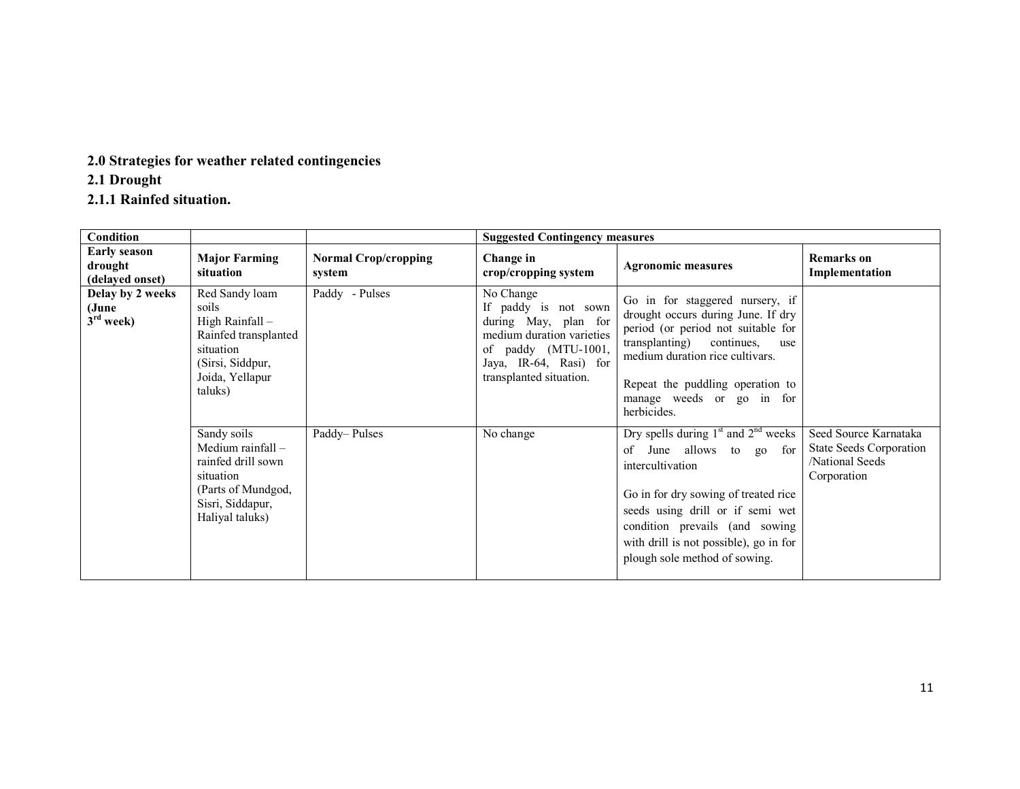2.0 Strategies for weather related contingencies

2.1 Drought

2.1.1 Rainfed situation.

| <b>Condition</b>                                  |                                                                                                                                    |                                       | <b>Suggested Contingency measures</b>                                                                                                                              |                                                                                                                                                                                                                                                                                     |                                                                                    |
|---------------------------------------------------|------------------------------------------------------------------------------------------------------------------------------------|---------------------------------------|--------------------------------------------------------------------------------------------------------------------------------------------------------------------|-------------------------------------------------------------------------------------------------------------------------------------------------------------------------------------------------------------------------------------------------------------------------------------|------------------------------------------------------------------------------------|
| <b>Early season</b><br>drought<br>(delayed onset) | <b>Major Farming</b><br>situation                                                                                                  | <b>Normal Crop/cropping</b><br>system | Change in<br>crop/cropping system                                                                                                                                  | <b>Agronomic measures</b>                                                                                                                                                                                                                                                           | <b>Remarks</b> on<br>Implementation                                                |
| Delay by 2 weeks<br>(June<br>$3rd$ week)          | Red Sandy loam<br>soils<br>High Rainfall -<br>Rainfed transplanted<br>situation<br>(Sirsi, Siddpur,<br>Joida, Yellapur<br>taluks)  | Paddy - Pulses                        | No Change<br>If paddy is not sown<br>during May, plan for<br>medium duration varieties<br>of paddy (MTU-1001,<br>Jaya, IR-64, Rasi) for<br>transplanted situation. | Go in for staggered nursery, if<br>drought occurs during June. If dry<br>period (or period not suitable for<br>transplanting) continues,<br>use<br>medium duration rice cultivars.<br>Repeat the puddling operation to<br>manage weeds or go in for<br>herbicides.                  |                                                                                    |
|                                                   | Sandy soils<br>Medium rainfall $-$<br>rainfed drill sown<br>situation<br>(Parts of Mundgod,<br>Sisri, Siddapur,<br>Haliyal taluks) | Paddy-Pulses                          | No change                                                                                                                                                          | Dry spells during $1st$ and $2nd$ weeks<br>of June allows to go<br>for<br>intercultivation<br>Go in for dry sowing of treated rice<br>seeds using drill or if semi wet<br>condition prevails (and sowing<br>with drill is not possible), go in for<br>plough sole method of sowing. | Seed Source Karnataka<br>State Seeds Corporation<br>/National Seeds<br>Corporation |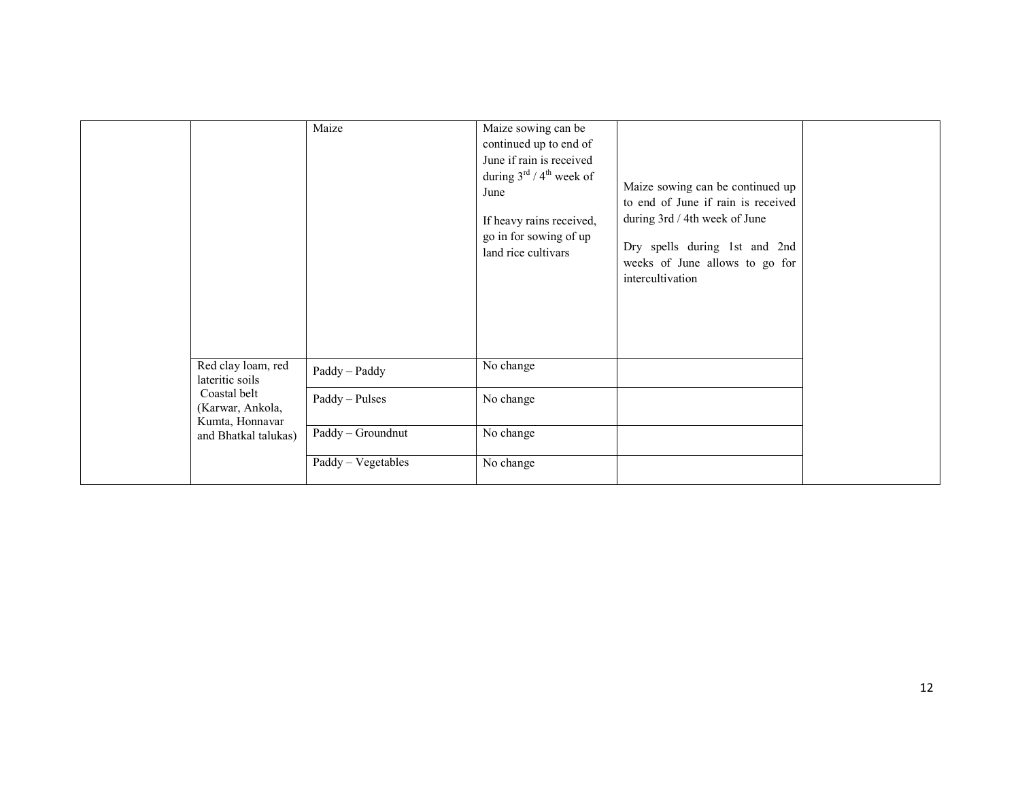|                                                     | Maize              | Maize sowing can be<br>continued up to end of<br>June if rain is received<br>during $3^{\text{rd}}$ / 4 <sup>th</sup> week of<br>June<br>If heavy rains received,<br>go in for sowing of up<br>land rice cultivars | Maize sowing can be continued up<br>to end of June if rain is received<br>during 3rd / 4th week of June<br>Dry spells during 1st and 2nd<br>weeks of June allows to go for<br>intercultivation |  |
|-----------------------------------------------------|--------------------|--------------------------------------------------------------------------------------------------------------------------------------------------------------------------------------------------------------------|------------------------------------------------------------------------------------------------------------------------------------------------------------------------------------------------|--|
| Red clay loam, red<br>lateritic soils               | Paddy - Paddy      | No change                                                                                                                                                                                                          |                                                                                                                                                                                                |  |
| Coastal belt<br>(Karwar, Ankola,<br>Kumta, Honnavar | Paddy - Pulses     | No change                                                                                                                                                                                                          |                                                                                                                                                                                                |  |
| and Bhatkal talukas)                                | Paddy - Groundnut  | No change                                                                                                                                                                                                          |                                                                                                                                                                                                |  |
|                                                     | Paddy - Vegetables | No change                                                                                                                                                                                                          |                                                                                                                                                                                                |  |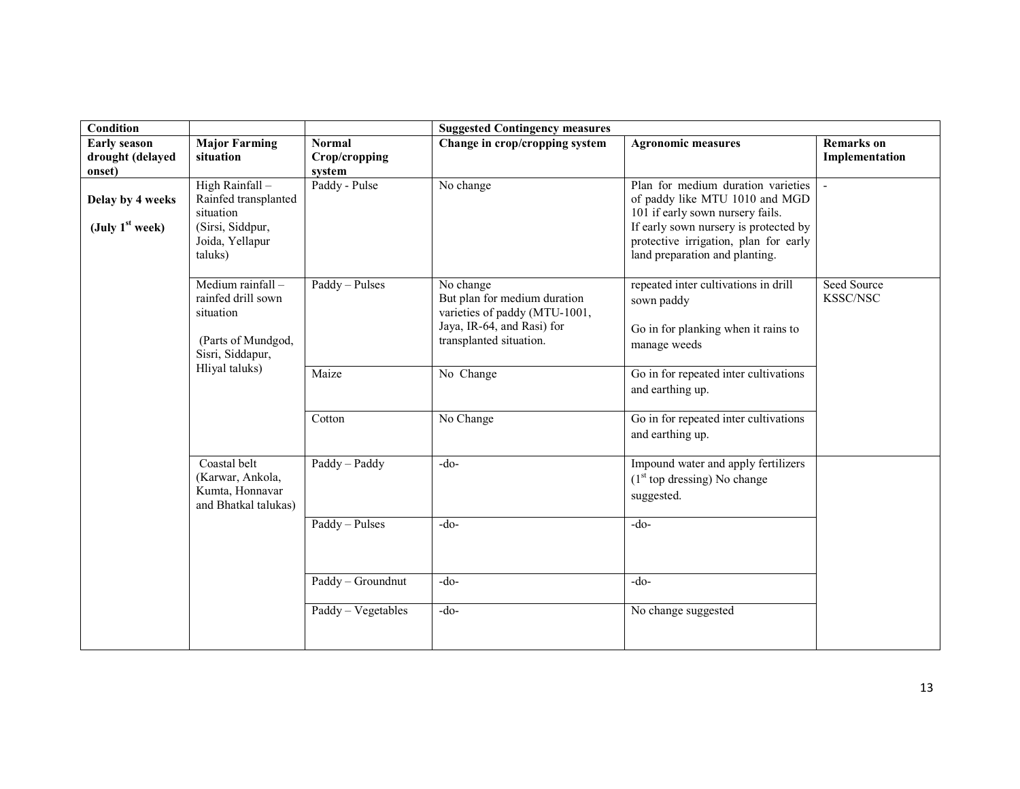| Condition                                         |                                                                                                        |                                          | <b>Suggested Contingency measures</b>                                                                                               |                                                                                                                                                                                                                              |                                     |
|---------------------------------------------------|--------------------------------------------------------------------------------------------------------|------------------------------------------|-------------------------------------------------------------------------------------------------------------------------------------|------------------------------------------------------------------------------------------------------------------------------------------------------------------------------------------------------------------------------|-------------------------------------|
| <b>Early season</b><br>drought (delayed<br>onset) | <b>Major Farming</b><br>situation                                                                      | <b>Normal</b><br>Crop/cropping<br>system | Change in crop/cropping system                                                                                                      | <b>Agronomic measures</b>                                                                                                                                                                                                    | <b>Remarks</b> on<br>Implementation |
| Delay by 4 weeks<br>(July $1st$ week)             | High Rainfall -<br>Rainfed transplanted<br>situation<br>(Sirsi, Siddpur,<br>Joida, Yellapur<br>taluks) | Paddy - Pulse                            | No change                                                                                                                           | Plan for medium duration varieties<br>of paddy like MTU 1010 and MGD<br>101 if early sown nursery fails.<br>If early sown nursery is protected by<br>protective irrigation, plan for early<br>land preparation and planting. |                                     |
|                                                   | Medium rainfall-<br>rainfed drill sown<br>situation<br>(Parts of Mundgod,<br>Sisri, Siddapur,          | Paddy - Pulses                           | No change<br>But plan for medium duration<br>varieties of paddy (MTU-1001,<br>Jaya, IR-64, and Rasi) for<br>transplanted situation. | repeated inter cultivations in drill<br>sown paddy<br>Go in for planking when it rains to<br>manage weeds                                                                                                                    | Seed Source<br>KSSC/NSC             |
|                                                   | Hliyal taluks)                                                                                         | Maize                                    | No Change                                                                                                                           | Go in for repeated inter cultivations<br>and earthing up.                                                                                                                                                                    |                                     |
|                                                   |                                                                                                        | Cotton                                   | No Change                                                                                                                           | Go in for repeated inter cultivations<br>and earthing up.                                                                                                                                                                    |                                     |
|                                                   | Coastal belt<br>(Karwar, Ankola,<br>Kumta, Honnavar<br>and Bhatkal talukas)                            | Paddy - Paddy                            | $-do-$                                                                                                                              | Impound water and apply fertilizers<br>$(1st$ top dressing) No change<br>suggested.                                                                                                                                          |                                     |
|                                                   |                                                                                                        | Paddy - Pulses                           | $-do-$                                                                                                                              | $-do-$                                                                                                                                                                                                                       |                                     |
|                                                   |                                                                                                        | Paddy - Groundnut                        | $-do-$                                                                                                                              | $-do-$                                                                                                                                                                                                                       |                                     |
|                                                   |                                                                                                        | Paddy - Vegetables                       | $-do-$                                                                                                                              | No change suggested                                                                                                                                                                                                          |                                     |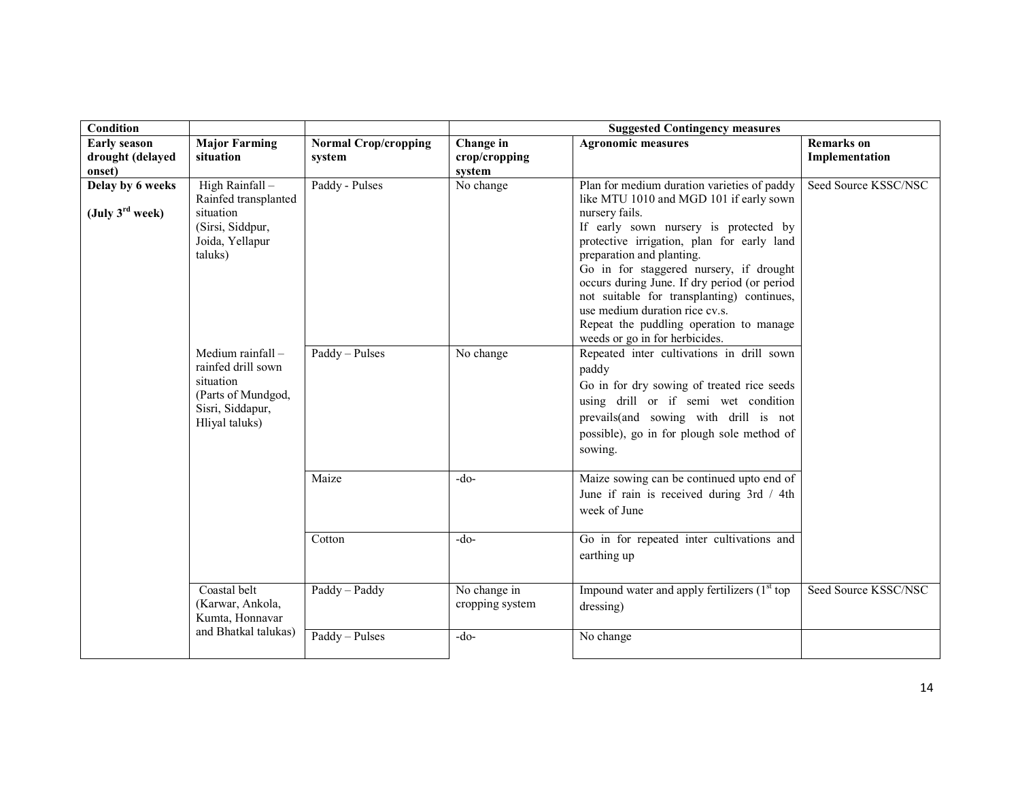| Condition                                       |                                                                                                                  |                             |                                 | <b>Suggested Contingency measures</b>                                                                                                                                                                                                                                                                                                                                                                                                                                                |                      |
|-------------------------------------------------|------------------------------------------------------------------------------------------------------------------|-----------------------------|---------------------------------|--------------------------------------------------------------------------------------------------------------------------------------------------------------------------------------------------------------------------------------------------------------------------------------------------------------------------------------------------------------------------------------------------------------------------------------------------------------------------------------|----------------------|
| <b>Early season</b>                             | <b>Major Farming</b>                                                                                             | <b>Normal Crop/cropping</b> | Change in                       | <b>Agronomic measures</b>                                                                                                                                                                                                                                                                                                                                                                                                                                                            | <b>Remarks</b> on    |
| drought (delayed<br>onset)                      | situation                                                                                                        | system                      | crop/cropping<br>system         |                                                                                                                                                                                                                                                                                                                                                                                                                                                                                      | Implementation       |
| Delay by 6 weeks<br>(July $3^{\text{rd}}$ week) | High Rainfall -<br>Rainfed transplanted<br>situation<br>(Sirsi, Siddpur,<br>Joida, Yellapur<br>taluks)           | Paddy - Pulses              | No change                       | Plan for medium duration varieties of paddy<br>like MTU 1010 and MGD 101 if early sown<br>nursery fails.<br>If early sown nursery is protected by<br>protective irrigation, plan for early land<br>preparation and planting.<br>Go in for staggered nursery, if drought<br>occurs during June. If dry period (or period<br>not suitable for transplanting) continues,<br>use medium duration rice cv.s.<br>Repeat the puddling operation to manage<br>weeds or go in for herbicides. | Seed Source KSSC/NSC |
|                                                 | Medium rainfall -<br>rainfed drill sown<br>situation<br>(Parts of Mundgod,<br>Sisri, Siddapur,<br>Hliyal taluks) | Paddy - Pulses              | No change                       | Repeated inter cultivations in drill sown<br>paddy<br>Go in for dry sowing of treated rice seeds<br>using drill or if semi wet condition<br>prevails(and sowing with drill is not<br>possible), go in for plough sole method of<br>sowing.                                                                                                                                                                                                                                           |                      |
|                                                 |                                                                                                                  | Maize                       | $-do-$                          | Maize sowing can be continued upto end of<br>June if rain is received during 3rd / 4th<br>week of June                                                                                                                                                                                                                                                                                                                                                                               |                      |
|                                                 |                                                                                                                  | Cotton                      | $-do-$                          | Go in for repeated inter cultivations and<br>earthing up                                                                                                                                                                                                                                                                                                                                                                                                                             |                      |
|                                                 | Coastal belt<br>(Karwar, Ankola,<br>Kumta, Honnavar                                                              | Paddy - Paddy               | No change in<br>cropping system | Impound water and apply fertilizers $(1st$ top<br>dressing)                                                                                                                                                                                                                                                                                                                                                                                                                          | Seed Source KSSC/NSC |
|                                                 | and Bhatkal talukas)                                                                                             | Paddy - Pulses              | $-do-$                          | No change                                                                                                                                                                                                                                                                                                                                                                                                                                                                            |                      |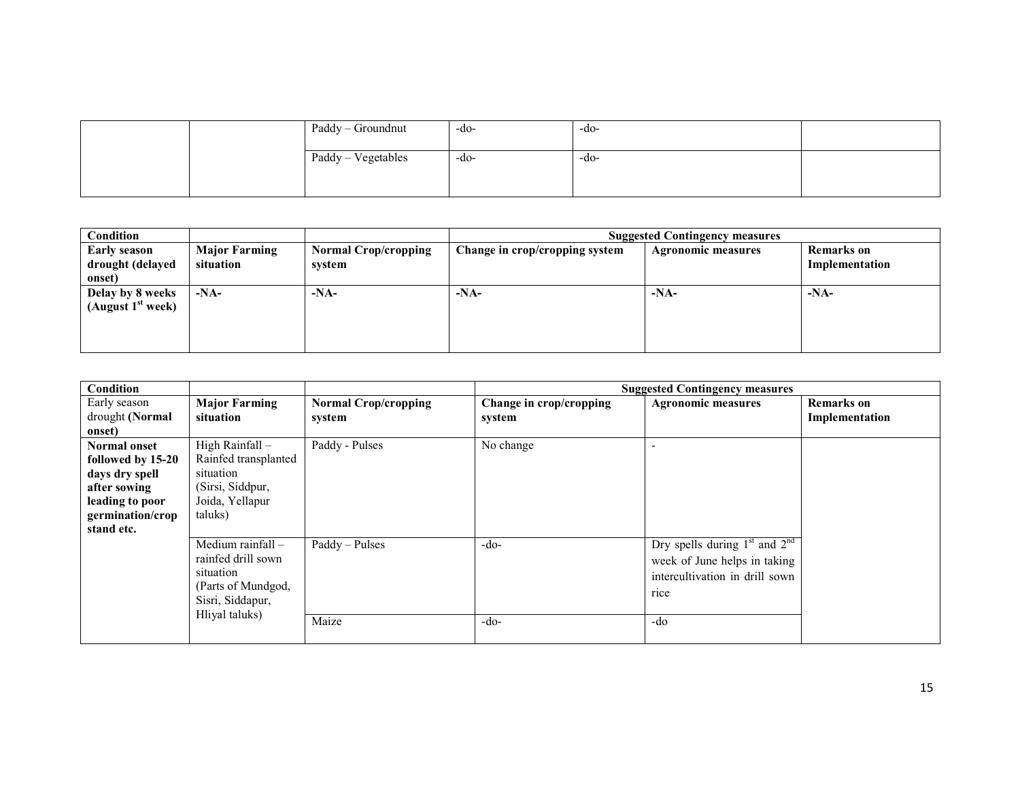| Paddy - Groundnut  | -do- | -do- |  |
|--------------------|------|------|--|
| Paddy - Vegetables | -do- | -do- |  |
|                    |      |      |  |

| Condition                                         |                                   |                                       |                                | <b>Suggested Contingency measures</b> |                                     |  |  |
|---------------------------------------------------|-----------------------------------|---------------------------------------|--------------------------------|---------------------------------------|-------------------------------------|--|--|
| <b>Early season</b><br>drought (delayed<br>onset) | <b>Major Farming</b><br>situation | <b>Normal Crop/cropping</b><br>system | Change in crop/cropping system | <b>Agronomic measures</b>             | <b>Remarks</b> on<br>Implementation |  |  |
| Delay by 8 weeks<br>(August $1st$ week)           | $-NA-$                            | $-NA-$                                | $-NA-$                         | $-NA-$                                | $-NA-$                              |  |  |

| <b>Condition</b>                                                                                                                |                                                                                                                  |                                       |                                   | <b>Suggested Contingency measures</b>                                                                              |                                     |
|---------------------------------------------------------------------------------------------------------------------------------|------------------------------------------------------------------------------------------------------------------|---------------------------------------|-----------------------------------|--------------------------------------------------------------------------------------------------------------------|-------------------------------------|
| Early season<br>drought (Normal                                                                                                 | <b>Major Farming</b><br>situation                                                                                | <b>Normal Crop/cropping</b><br>system | Change in crop/cropping<br>system | <b>Agronomic measures</b>                                                                                          | <b>Remarks</b> on<br>Implementation |
| onset)                                                                                                                          |                                                                                                                  |                                       |                                   |                                                                                                                    |                                     |
| <b>Normal onset</b><br>followed by 15-20<br>days dry spell<br>after sowing<br>leading to poor<br>germination/crop<br>stand etc. | High Rainfall -<br>Rainfed transplanted<br>situation<br>(Sirsi, Siddpur,<br>Joida, Yellapur<br>taluks)           | Paddy - Pulses                        | No change                         |                                                                                                                    |                                     |
|                                                                                                                                 | Medium rainfall -<br>rainfed drill sown<br>situation<br>(Parts of Mundgod,<br>Sisri, Siddapur,<br>Hliyal taluks) | Paddy - Pulses<br>Maize               | $-do-$<br>$-do-$                  | Dry spells during $1st$ and $2nd$<br>week of June helps in taking<br>intercultivation in drill sown<br>rice<br>-do |                                     |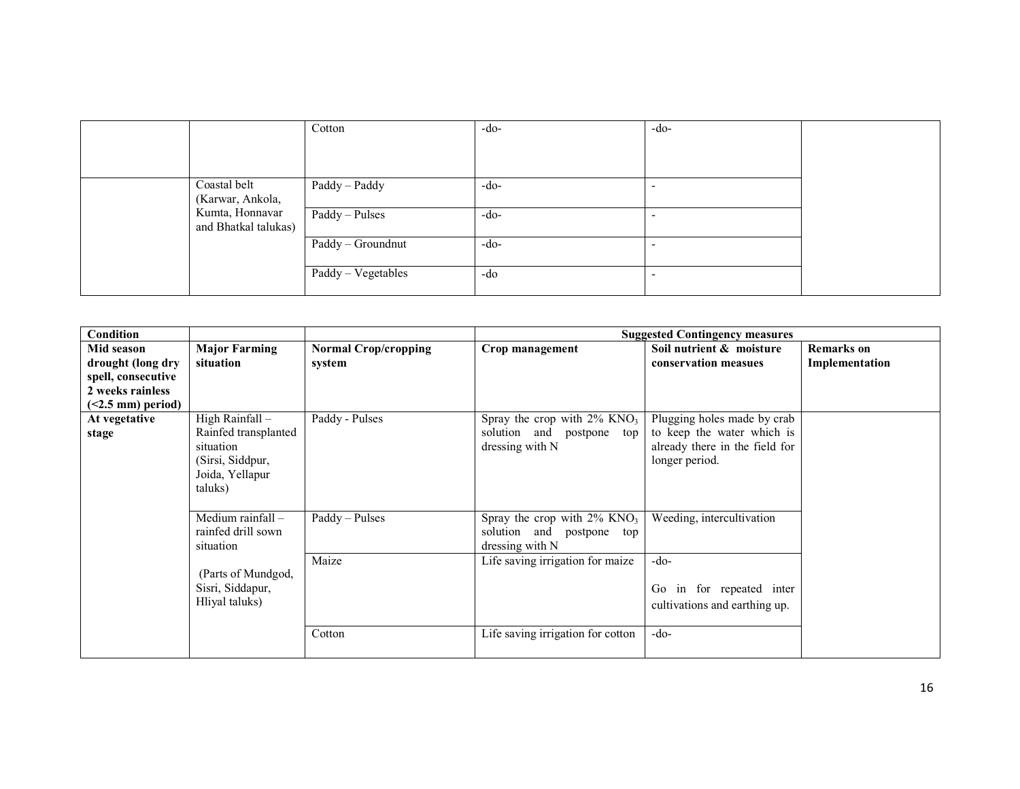|                                     | Cotton             | $-do-$ | $-do-$ |  |
|-------------------------------------|--------------------|--------|--------|--|
|                                     |                    |        |        |  |
|                                     |                    |        |        |  |
| Coastal belt                        | Paddy - Paddy      | $-do-$ |        |  |
| (Karwar, Ankola,<br>Kumta, Honnavar |                    |        |        |  |
| and Bhatkal talukas)                | Paddy - Pulses     | $-do-$ |        |  |
|                                     | Paddy - Groundnut  | $-do-$ |        |  |
|                                     | Paddy - Vegetables | -do    |        |  |
|                                     |                    |        |        |  |

| <b>Condition</b>           |                      |                             |                                            | <b>Suggested Contingency measures</b> |                |
|----------------------------|----------------------|-----------------------------|--------------------------------------------|---------------------------------------|----------------|
| Mid season                 | <b>Major Farming</b> | <b>Normal Crop/cropping</b> | Crop management                            | Soil nutrient & moisture              | Remarks on     |
| drought (long dry          | situation            | system                      |                                            | conservation measues                  | Implementation |
| spell, consecutive         |                      |                             |                                            |                                       |                |
| 2 weeks rainless           |                      |                             |                                            |                                       |                |
| $(2.5 \text{ mm})$ period) |                      |                             |                                            |                                       |                |
| At vegetative              | High Rainfall -      | Paddy - Pulses              | Spray the crop with $2\%$ KNO <sub>3</sub> | Plugging holes made by crab           |                |
| stage                      | Rainfed transplanted |                             | solution and<br>postpone top               | to keep the water which is            |                |
|                            | situation            |                             | dressing with N                            | already there in the field for        |                |
|                            | (Sirsi, Siddpur,     |                             |                                            | longer period.                        |                |
|                            | Joida, Yellapur      |                             |                                            |                                       |                |
|                            | taluks)              |                             |                                            |                                       |                |
|                            |                      |                             |                                            |                                       |                |
|                            | Medium rainfall -    | Paddy - Pulses              | Spray the crop with $2\%$ KNO <sub>3</sub> | Weeding, intercultivation             |                |
|                            | rainfed drill sown   |                             | solution and postpone top                  |                                       |                |
|                            | situation            |                             | dressing with N                            |                                       |                |
|                            |                      | Maize                       | Life saving irrigation for maize           | $-do-$                                |                |
|                            | (Parts of Mundgod,   |                             |                                            |                                       |                |
|                            | Sisri, Siddapur,     |                             |                                            | in for repeated inter<br>Go           |                |
|                            | Hliyal taluks)       |                             |                                            | cultivations and earthing up.         |                |
|                            |                      |                             |                                            |                                       |                |
|                            |                      | Cotton                      | Life saving irrigation for cotton          | -do-                                  |                |
|                            |                      |                             |                                            |                                       |                |
|                            |                      |                             |                                            |                                       |                |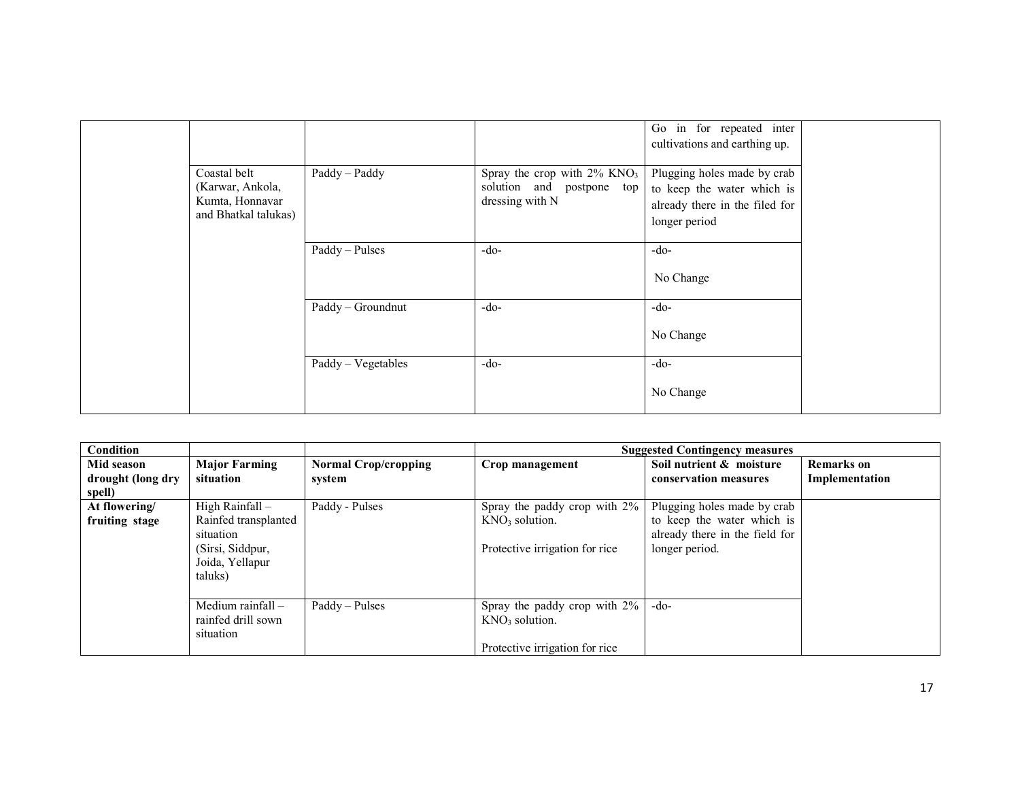|                                                                             |                      |                                                                                            | Go in for repeated inter<br>cultivations and earthing up.                                                    |  |
|-----------------------------------------------------------------------------|----------------------|--------------------------------------------------------------------------------------------|--------------------------------------------------------------------------------------------------------------|--|
| Coastal belt<br>(Karwar, Ankola,<br>Kumta, Honnavar<br>and Bhatkal talukas) | Paddy - Paddy        | Spray the crop with $2\%$ KNO <sub>3</sub><br>solution and postpone top<br>dressing with N | Plugging holes made by crab<br>to keep the water which is<br>already there in the filed for<br>longer period |  |
|                                                                             | Paddy - Pulses       | $-do-$                                                                                     | $-do-$<br>No Change                                                                                          |  |
|                                                                             | Paddy - Groundnut    | $-do-$                                                                                     | $-do-$<br>No Change                                                                                          |  |
|                                                                             | $Paddy - Vegetables$ | $-do-$                                                                                     | $-do-$<br>No Change                                                                                          |  |

| <b>Condition</b>  |                      |                             |                                | <b>Suggested Contingency measures</b> |                   |
|-------------------|----------------------|-----------------------------|--------------------------------|---------------------------------------|-------------------|
| Mid season        | <b>Major Farming</b> | <b>Normal Crop/cropping</b> | Crop management                | Soil nutrient & moisture              | <b>Remarks</b> on |
| drought (long dry | situation            | system                      |                                | conservation measures                 | Implementation    |
| spell)            |                      |                             |                                |                                       |                   |
| At flowering/     | High Rainfall -      | Paddy - Pulses              | Spray the paddy crop with 2%   | Plugging holes made by crab           |                   |
| fruiting stage    | Rainfed transplanted |                             | $KNO3$ solution.               | to keep the water which is            |                   |
|                   | situation            |                             |                                | already there in the field for        |                   |
|                   | (Sirsi, Siddpur,     |                             | Protective irrigation for rice | longer period.                        |                   |
|                   | Joida, Yellapur      |                             |                                |                                       |                   |
|                   | taluks)              |                             |                                |                                       |                   |
|                   |                      |                             |                                |                                       |                   |
|                   | Medium rainfall $-$  | Paddy – Pulses              | Spray the paddy crop with 2%   | $-do-$                                |                   |
|                   | rainfed drill sown   |                             | $KNO3$ solution.               |                                       |                   |
|                   | situation            |                             |                                |                                       |                   |
|                   |                      |                             | Protective irrigation for rice |                                       |                   |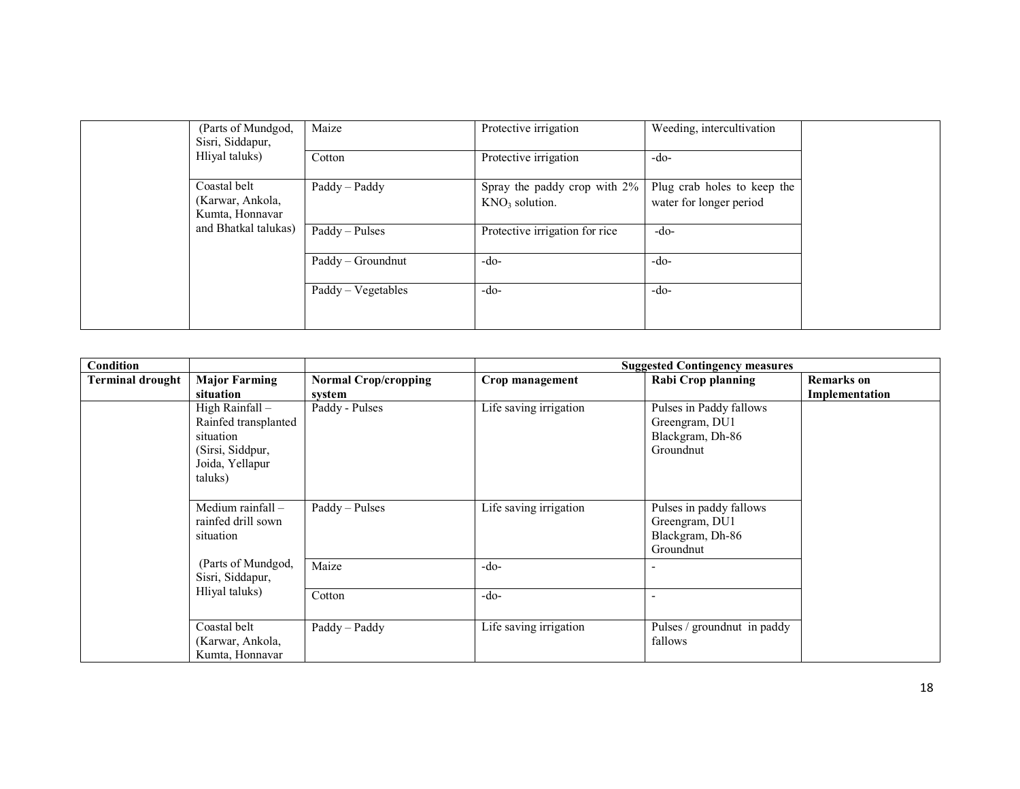| (Parts of Mundgod,<br>Sisri, Siddapur, | Maize              | Protective irrigation          | Weeding, intercultivation   |
|----------------------------------------|--------------------|--------------------------------|-----------------------------|
| Hliyal taluks)                         | Cotton             | Protective irrigation          | $-do-$                      |
| Coastal belt                           | Paddy - Paddy      | Spray the paddy crop with 2%   | Plug crab holes to keep the |
| (Karwar, Ankola,<br>Kumta, Honnavar    |                    | $KNO3$ solution.               | water for longer period     |
| and Bhatkal talukas)                   | Paddy - Pulses     | Protective irrigation for rice | -do-                        |
|                                        | Paddy - Groundnut  | -do-                           | $-do-$                      |
|                                        | Paddy - Vegetables | $-do-$                         | $-do-$                      |

| Condition               |                                                                                                        |                             |                        | <b>Suggested Contingency measures</b>                                      |                   |
|-------------------------|--------------------------------------------------------------------------------------------------------|-----------------------------|------------------------|----------------------------------------------------------------------------|-------------------|
| <b>Terminal drought</b> | <b>Major Farming</b>                                                                                   | <b>Normal Crop/cropping</b> | Crop management        | <b>Rabi Crop planning</b>                                                  | <b>Remarks</b> on |
|                         | situation                                                                                              | system                      |                        |                                                                            | Implementation    |
|                         | High Rainfall -<br>Rainfed transplanted<br>situation<br>(Sirsi, Siddpur,<br>Joida, Yellapur<br>taluks) | Paddy - Pulses              | Life saving irrigation | Pulses in Paddy fallows<br>Greengram, DU1<br>Blackgram, Dh-86<br>Groundnut |                   |
|                         | Medium rainfall -<br>rainfed drill sown<br>situation                                                   | Paddy – Pulses              | Life saving irrigation | Pulses in paddy fallows<br>Greengram, DU1<br>Blackgram, Dh-86<br>Groundnut |                   |
|                         | (Parts of Mundgod,<br>Sisri, Siddapur,                                                                 | Maize                       | $-do-$                 |                                                                            |                   |
| Hliyal taluks)          | Cotton                                                                                                 | $-do-$                      |                        |                                                                            |                   |
|                         | Coastal belt<br>(Karwar, Ankola,<br>Kumta, Honnavar                                                    | Paddy - Paddy               | Life saving irrigation | Pulses / groundnut in paddy<br>fallows                                     |                   |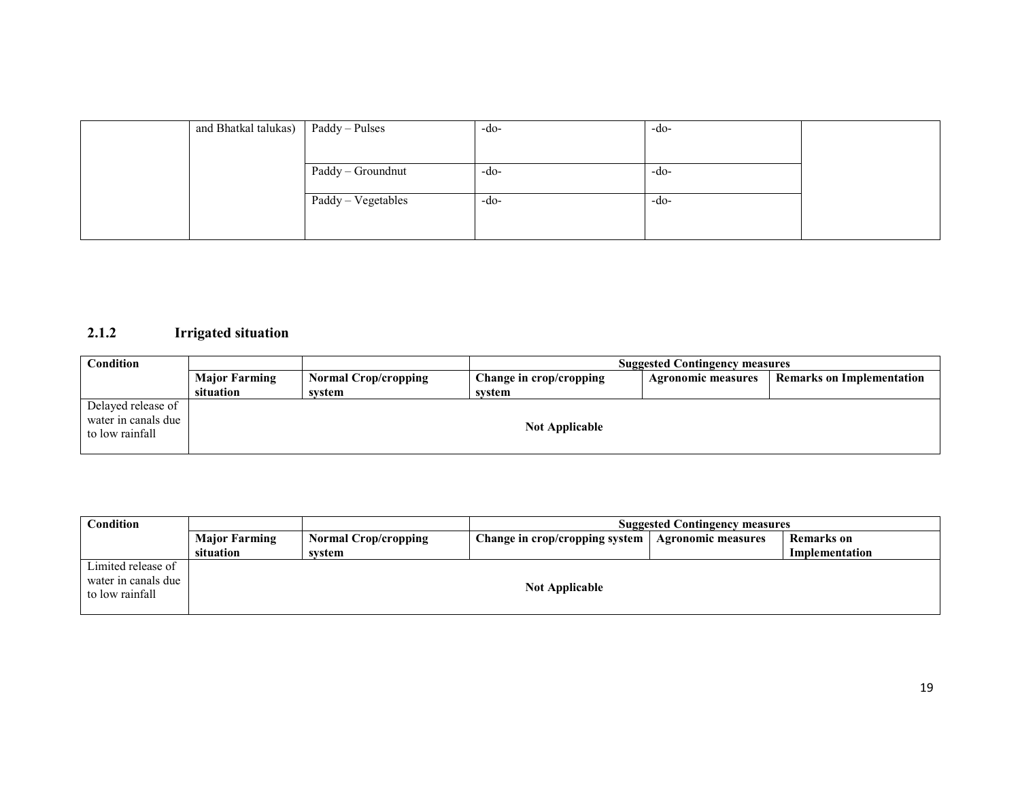| and Bhatkal talukas)   Paddy – Pulses |                    | $-do-$ | $-do-$ |  |
|---------------------------------------|--------------------|--------|--------|--|
|                                       |                    |        |        |  |
|                                       | Paddy - Groundnut  | -do-   | $-do-$ |  |
|                                       |                    |        |        |  |
|                                       | Paddy - Vegetables | -do-   | -do-   |  |
|                                       |                    |        |        |  |

## 2.1.2 Irrigated situation

| <b>Condition</b>                                             |                      |                             | <b>Suggested Contingency measures</b> |                           |                                  |  |
|--------------------------------------------------------------|----------------------|-----------------------------|---------------------------------------|---------------------------|----------------------------------|--|
|                                                              | <b>Major Farming</b> | <b>Normal Crop/cropping</b> | Change in crop/cropping               | <b>Agronomic measures</b> | <b>Remarks on Implementation</b> |  |
|                                                              | situation            | svstem                      | svstem                                |                           |                                  |  |
| Delayed release of<br>water in canals due<br>to low rainfall |                      |                             | <b>Not Applicable</b>                 |                           |                                  |  |

| <b>Condition</b>                                             |                      |                             | <b>Suggested Contingency measures</b> |                           |                   |  |
|--------------------------------------------------------------|----------------------|-----------------------------|---------------------------------------|---------------------------|-------------------|--|
|                                                              | <b>Major Farming</b> | <b>Normal Crop/cropping</b> | Change in crop/cropping system        | <b>Agronomic measures</b> | <b>Remarks</b> on |  |
|                                                              | situation            | svstem                      |                                       |                           | Implementation    |  |
| Limited release of<br>water in canals due<br>to low rainfall |                      |                             | <b>Not Applicable</b>                 |                           |                   |  |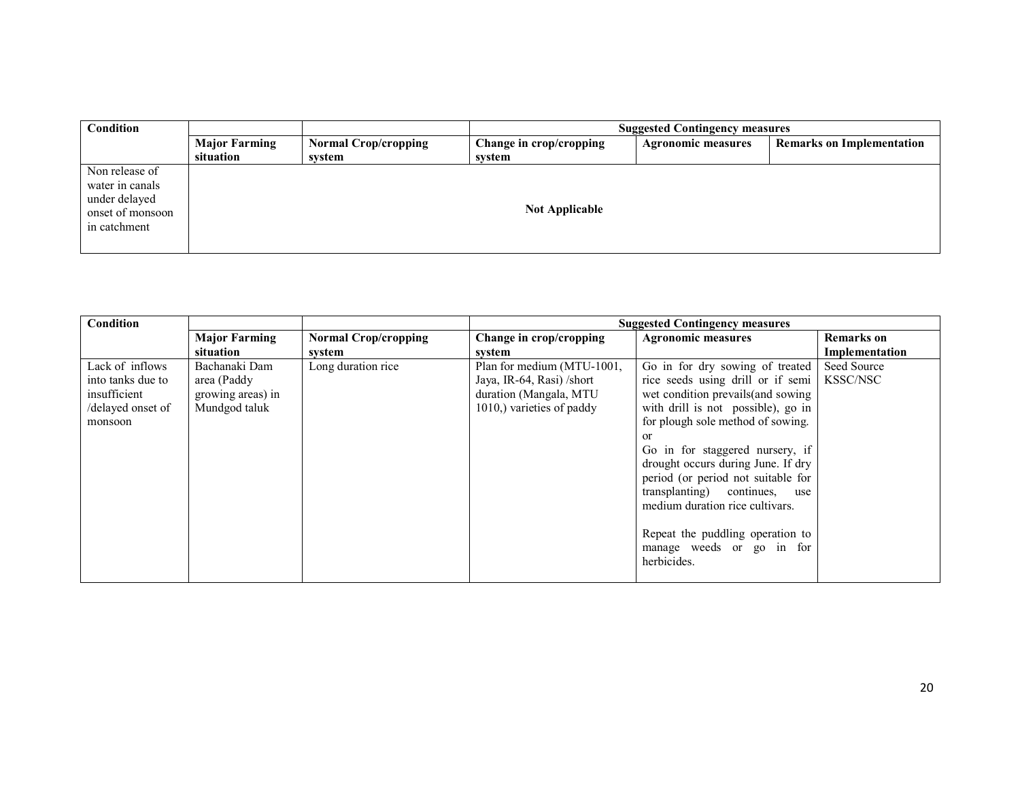| Condition                                                                              |                                   | <b>Suggested Contingency measures</b> |                                   |                           |                                  |
|----------------------------------------------------------------------------------------|-----------------------------------|---------------------------------------|-----------------------------------|---------------------------|----------------------------------|
|                                                                                        | <b>Major Farming</b><br>situation | <b>Normal Crop/cropping</b><br>svstem | Change in crop/cropping<br>svstem | <b>Agronomic measures</b> | <b>Remarks on Implementation</b> |
| Non release of<br>water in canals<br>under delayed<br>onset of monsoon<br>in catchment |                                   |                                       | <b>Not Applicable</b>             |                           |                                  |

| <b>Condition</b>  |                      |                             | <b>Suggested Contingency measures</b> |                                    |                |  |
|-------------------|----------------------|-----------------------------|---------------------------------------|------------------------------------|----------------|--|
|                   | <b>Major Farming</b> | <b>Normal Crop/cropping</b> | Change in crop/cropping               | <b>Agronomic measures</b>          | Remarks on     |  |
|                   | situation            | system                      | system                                |                                    | Implementation |  |
| Lack of inflows   | Bachanaki Dam        | Long duration rice          | Plan for medium (MTU-1001,            | Go in for dry sowing of treated    | Seed Source    |  |
| into tanks due to | area (Paddy          |                             | Jaya, IR-64, Rasi) /short             | rice seeds using drill or if semi  | KSSC/NSC       |  |
| insufficient      | growing areas) in    |                             | duration (Mangala, MTU                | wet condition prevails (and sowing |                |  |
| /delayed onset of | Mundgod taluk        |                             | 1010,) varieties of paddy             | with drill is not possible), go in |                |  |
| monsoon           |                      |                             |                                       | for plough sole method of sowing.  |                |  |
|                   |                      |                             |                                       | <sub>or</sub>                      |                |  |
|                   |                      |                             |                                       | Go in for staggered nursery, if    |                |  |
|                   |                      |                             |                                       | drought occurs during June. If dry |                |  |
|                   |                      |                             |                                       | period (or period not suitable for |                |  |
|                   |                      |                             |                                       | transplanting) continues,<br>use   |                |  |
|                   |                      |                             |                                       | medium duration rice cultivars.    |                |  |
|                   |                      |                             |                                       |                                    |                |  |
|                   |                      |                             |                                       | Repeat the puddling operation to   |                |  |
|                   |                      |                             |                                       | manage weeds or go in for          |                |  |
|                   |                      |                             |                                       | herbicides.                        |                |  |
|                   |                      |                             |                                       |                                    |                |  |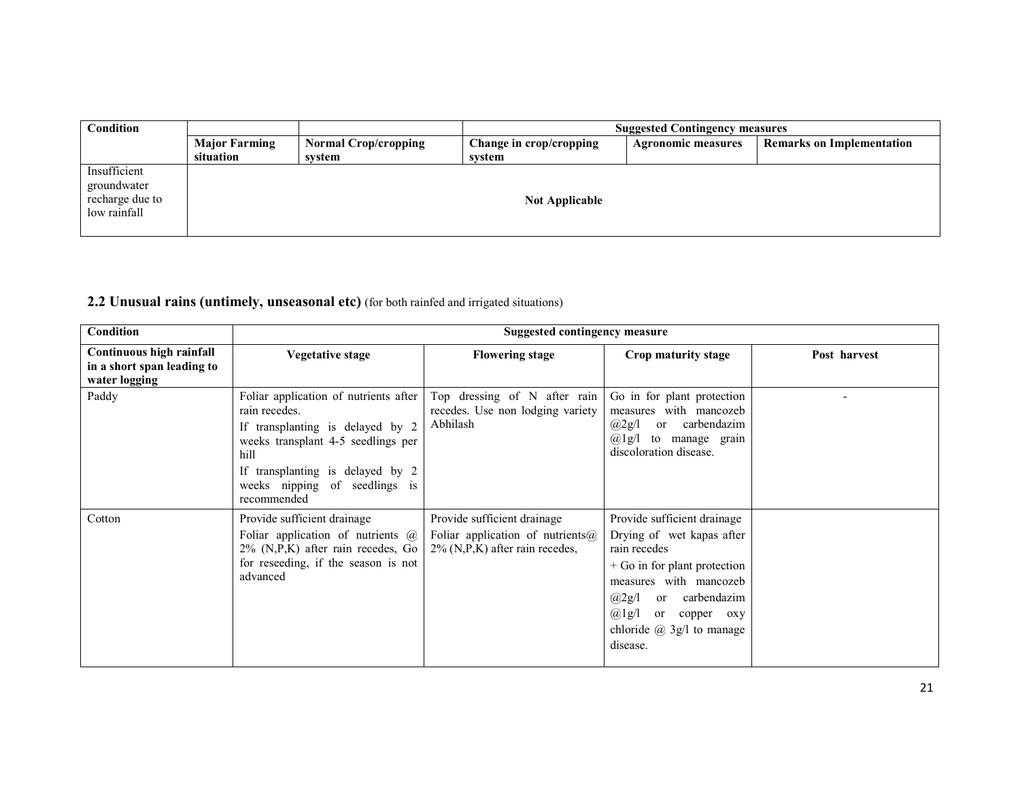| Condition                                                      |                      |                             | <b>Suggested Contingency measures</b> |                           |                                  |  |
|----------------------------------------------------------------|----------------------|-----------------------------|---------------------------------------|---------------------------|----------------------------------|--|
|                                                                | <b>Major Farming</b> | <b>Normal Crop/cropping</b> | Change in crop/cropping               | <b>Agronomic measures</b> | <b>Remarks on Implementation</b> |  |
|                                                                | situation            | svstem                      | system                                |                           |                                  |  |
| Insufficient<br>groundwater<br>recharge due to<br>low rainfall |                      |                             | <b>Not Applicable</b>                 |                           |                                  |  |

## 2.2 Unusual rains (untimely, unseasonal etc) (for both rainfed and irrigated situations)

| Condition                                                               |                                                                                                                                                                                                                              | Suggested contingency measure                                                                                |                                                                                                                                                                                                                                       |              |
|-------------------------------------------------------------------------|------------------------------------------------------------------------------------------------------------------------------------------------------------------------------------------------------------------------------|--------------------------------------------------------------------------------------------------------------|---------------------------------------------------------------------------------------------------------------------------------------------------------------------------------------------------------------------------------------|--------------|
| Continuous high rainfall<br>in a short span leading to<br>water logging | Vegetative stage                                                                                                                                                                                                             | <b>Flowering stage</b>                                                                                       | Crop maturity stage                                                                                                                                                                                                                   | Post harvest |
| Paddy                                                                   | Foliar application of nutrients after<br>rain recedes.<br>If transplanting is delayed by 2<br>weeks transplant 4-5 seedlings per<br>hill<br>If transplanting is delayed by 2<br>weeks nipping of seedlings is<br>recommended | Top dressing of N after rain<br>recedes. Use non lodging variety<br>Abhilash                                 | Go in for plant protection<br>measures with mancozeb<br>carbendazim<br>@2g/1<br><sub>or</sub><br>$(a)$ 1g/l to manage grain<br>discoloration disease.                                                                                 |              |
| Cotton                                                                  | Provide sufficient drainage<br>Foliar application of nutrients $\omega$<br>$2\%$ (N,P,K) after rain recedes, Go<br>for reseeding, if the season is not<br>advanced                                                           | Provide sufficient drainage<br>Foliar application of nutrients $\omega$<br>$2\%$ (N,P,K) after rain recedes, | Provide sufficient drainage<br>Drying of wet kapas after<br>rain recedes<br>$+$ Go in for plant protection<br>measures with mancozeb<br>or carbendazim<br>@2g/1<br>$@lg/1$ or copper oxy<br>chloride $(a)$ 3g/l to manage<br>disease. |              |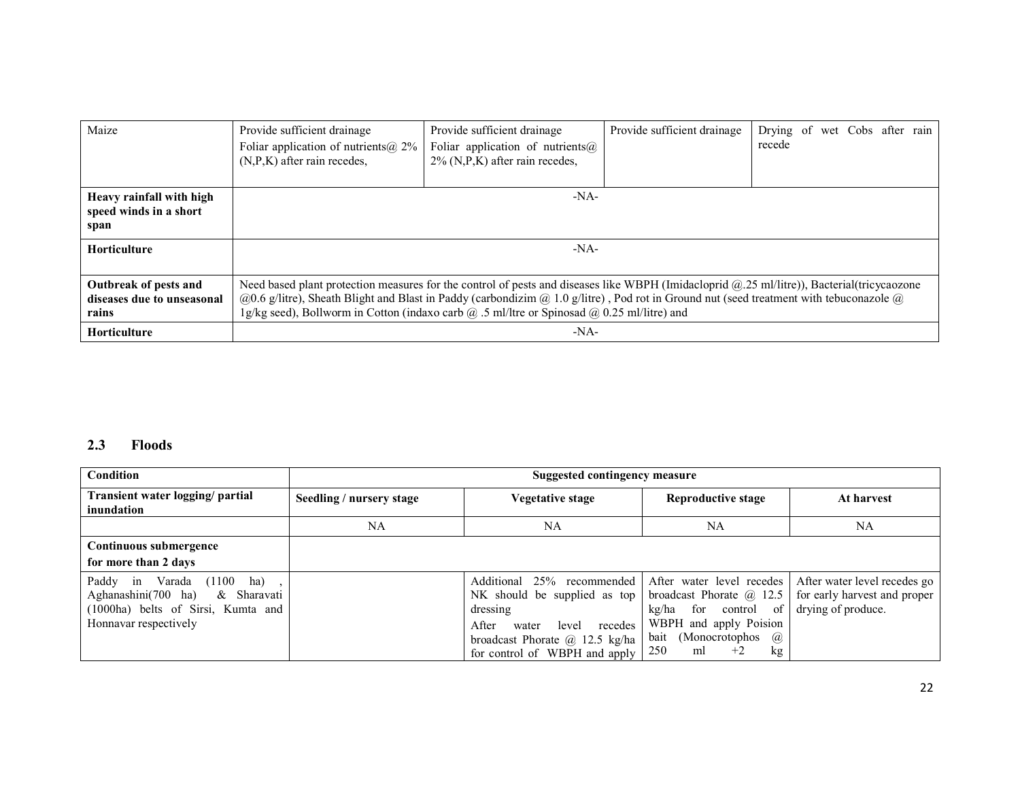| Maize                                                        | Provide sufficient drainage<br>Foliar application of nutrients ( $\hat{a}$ ), 2%<br>$(N, P, K)$ after rain recedes, | Provide sufficient drainage<br>Foliar application of nutrients $\omega$<br>$2\%$ (N,P,K) after rain recedes,                                                                                                                                                                                                                                                                                                                                       | Provide sufficient drainage | recede | Drying of wet Cobs after rain |  |
|--------------------------------------------------------------|---------------------------------------------------------------------------------------------------------------------|----------------------------------------------------------------------------------------------------------------------------------------------------------------------------------------------------------------------------------------------------------------------------------------------------------------------------------------------------------------------------------------------------------------------------------------------------|-----------------------------|--------|-------------------------------|--|
| Heavy rainfall with high<br>speed winds in a short<br>span   |                                                                                                                     | $-NA-$                                                                                                                                                                                                                                                                                                                                                                                                                                             |                             |        |                               |  |
| <b>Horticulture</b>                                          |                                                                                                                     | $-NA-$                                                                                                                                                                                                                                                                                                                                                                                                                                             |                             |        |                               |  |
| Outbreak of pests and<br>diseases due to unseasonal<br>rains |                                                                                                                     | Need based plant protection measures for the control of pests and diseases like WBPH (Imidacloprid @.25 ml/litre)), Bacterial(tricycaozone<br>$(20.6 \text{ g/litre})$ , Sheath Blight and Blast in Paddy (carbondizim $(20.10 \text{ g/litre})$ , Pod rot in Ground nut (seed treatment with tebuconazole $(20.6 \text{ g/litre})$ ).<br>1g/kg seed), Bollworm in Cotton (indaxo carb $\omega$ .5 ml/ltre or Spinosad $\omega$ 0.25 ml/litre) and |                             |        |                               |  |
| <b>Horticulture</b>                                          | -NA-                                                                                                                |                                                                                                                                                                                                                                                                                                                                                                                                                                                    |                             |        |                               |  |

## 2.3 Floods

| Condition<br><b>Suggested contingency measure</b>                                                                                           |                          |                                                                                                                                                                                             |                                                                                                                                                                                        |                                                                                    |
|---------------------------------------------------------------------------------------------------------------------------------------------|--------------------------|---------------------------------------------------------------------------------------------------------------------------------------------------------------------------------------------|----------------------------------------------------------------------------------------------------------------------------------------------------------------------------------------|------------------------------------------------------------------------------------|
| Transient water logging/ partial<br>inundation                                                                                              | Seedling / nursery stage | Vegetative stage                                                                                                                                                                            | <b>Reproductive stage</b>                                                                                                                                                              | At harvest                                                                         |
|                                                                                                                                             | NA                       | NA                                                                                                                                                                                          | NA                                                                                                                                                                                     | <b>NA</b>                                                                          |
| Continuous submergence                                                                                                                      |                          |                                                                                                                                                                                             |                                                                                                                                                                                        |                                                                                    |
| for more than 2 days                                                                                                                        |                          |                                                                                                                                                                                             |                                                                                                                                                                                        |                                                                                    |
| Paddy in<br>Varada $(1100 \text{ ha})$<br>Aghanashini(700 ha)<br>& Sharavati<br>(1000ha) belts of Sirsi, Kumta and<br>Honnavar respectively |                          | Additional 25%<br>recommended  <br>NK should be supplied as top<br>dressing<br>After<br>recedes<br>level<br>water<br>broadcast Phorate $\omega$ 12.5 kg/ha<br>for control of WBPH and apply | After water level recedes<br>broadcast Phorate $\omega$ 12.5<br>for<br>control of<br>kg/ha<br>WBPH and apply Poision<br>(Monocrotophos)<br>bait<br>$\omega$<br>250<br>$+2$<br>ml<br>kg | After water level recedes go<br>for early harvest and proper<br>drying of produce. |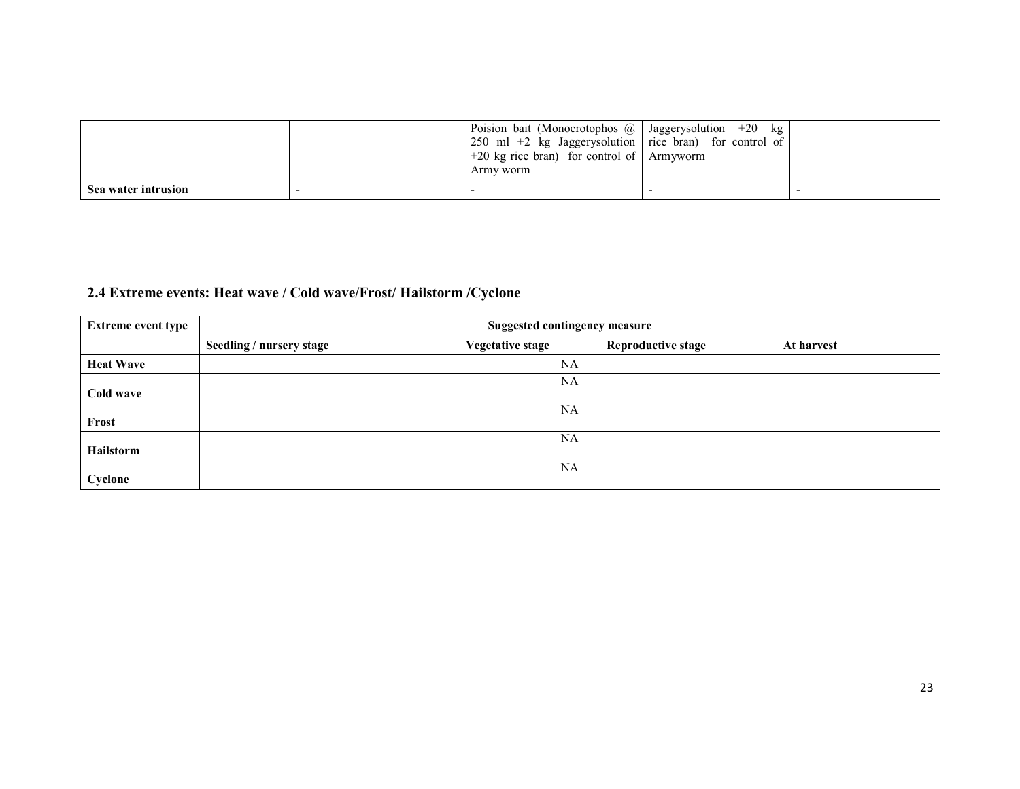|                     | Poision bait (Monocrotophos $@$   Jaggerysolution +20 kg $\vert$<br>  250 ml +2 kg Jaggerysolution   rice bran) for control of  <br>$+20 \text{ kg}$ rice bran) for control of Armyworm<br>Army worm |  |
|---------------------|------------------------------------------------------------------------------------------------------------------------------------------------------------------------------------------------------|--|
| Sea water intrusion |                                                                                                                                                                                                      |  |

## 2.4 Extreme events: Heat wave / Cold wave/Frost/ Hailstorm /Cyclone

| <b>Extreme event type</b> | <b>Suggested contingency measure</b> |                         |                           |            |  |
|---------------------------|--------------------------------------|-------------------------|---------------------------|------------|--|
|                           | Seedling / nursery stage             | <b>Vegetative stage</b> | <b>Reproductive stage</b> | At harvest |  |
| <b>Heat Wave</b>          |                                      | NA                      |                           |            |  |
|                           |                                      | NA                      |                           |            |  |
| Cold wave                 |                                      |                         |                           |            |  |
|                           |                                      | <b>NA</b>               |                           |            |  |
| Frost                     |                                      |                         |                           |            |  |
|                           |                                      | <b>NA</b>               |                           |            |  |
| Hailstorm                 |                                      |                         |                           |            |  |
|                           |                                      | NA                      |                           |            |  |
| Cyclone                   |                                      |                         |                           |            |  |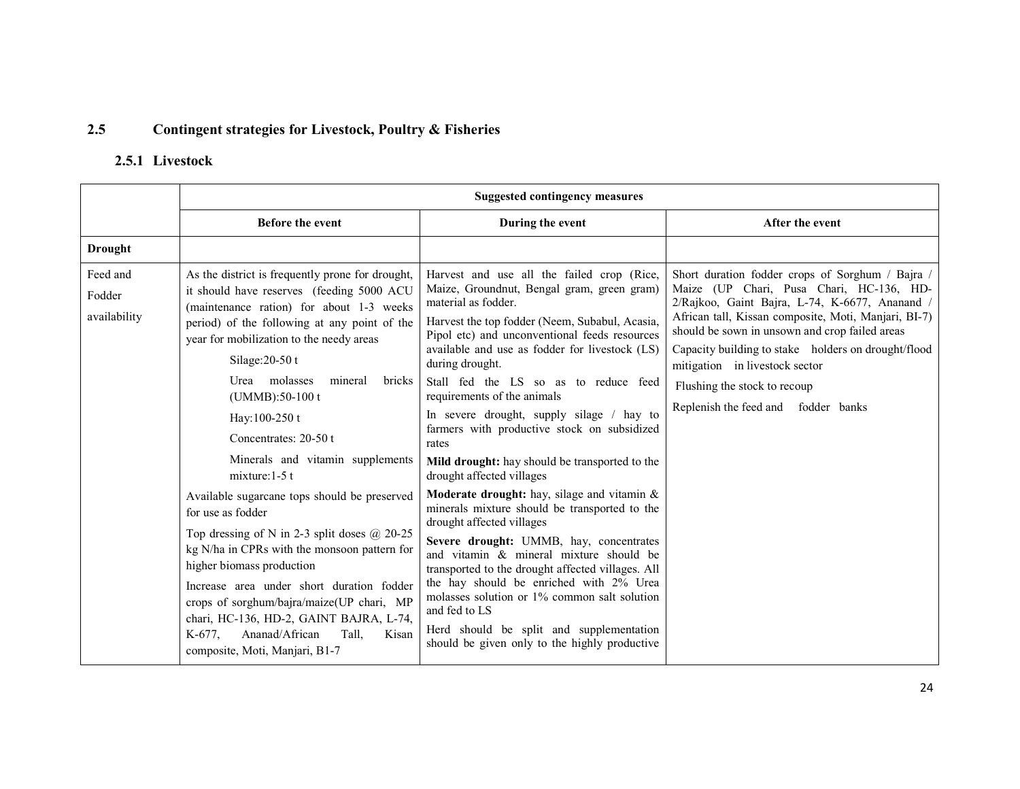#### 2.5Contingent strategies for Livestock, Poultry & Fisheries

## 2.5.1 Livestock

|                                    | <b>Suggested contingency measures</b>                                                                                                                                                                                                                                                                                                                                                                                      |                                                                                                                                                                                                                                                                                                                                                                                                                                                                                                                                                     |                                                                                                                                                                                                                                                                                                                                                                                                                          |  |
|------------------------------------|----------------------------------------------------------------------------------------------------------------------------------------------------------------------------------------------------------------------------------------------------------------------------------------------------------------------------------------------------------------------------------------------------------------------------|-----------------------------------------------------------------------------------------------------------------------------------------------------------------------------------------------------------------------------------------------------------------------------------------------------------------------------------------------------------------------------------------------------------------------------------------------------------------------------------------------------------------------------------------------------|--------------------------------------------------------------------------------------------------------------------------------------------------------------------------------------------------------------------------------------------------------------------------------------------------------------------------------------------------------------------------------------------------------------------------|--|
|                                    | <b>Before the event</b>                                                                                                                                                                                                                                                                                                                                                                                                    | During the event                                                                                                                                                                                                                                                                                                                                                                                                                                                                                                                                    | After the event                                                                                                                                                                                                                                                                                                                                                                                                          |  |
| <b>Drought</b>                     |                                                                                                                                                                                                                                                                                                                                                                                                                            |                                                                                                                                                                                                                                                                                                                                                                                                                                                                                                                                                     |                                                                                                                                                                                                                                                                                                                                                                                                                          |  |
| Feed and<br>Fodder<br>availability | As the district is frequently prone for drought,<br>it should have reserves (feeding 5000 ACU<br>(maintenance ration) for about 1-3 weeks<br>period) of the following at any point of the<br>year for mobilization to the needy areas<br>Silage: $20-50t$<br>Urea molasses<br>mineral<br>bricks<br>$(UMMB):50-100$ t<br>Hay: 100-250 t<br>Concentrates: 20-50 t<br>Minerals and vitamin supplements<br>mixture: $1-5$ t    | Harvest and use all the failed crop (Rice,<br>Maize, Groundnut, Bengal gram, green gram)<br>material as fodder.<br>Harvest the top fodder (Neem, Subabul, Acasia,<br>Pipol etc) and unconventional feeds resources<br>available and use as fodder for livestock (LS)<br>during drought.<br>Stall fed the LS so as to reduce feed<br>requirements of the animals<br>In severe drought, supply silage / hay to<br>farmers with productive stock on subsidized<br>rates<br>Mild drought: hay should be transported to the<br>drought affected villages | Short duration fodder crops of Sorghum / Bajra /<br>Maize (UP Chari, Pusa Chari, HC-136, HD-<br>2/Rajkoo, Gaint Bajra, L-74, K-6677, Ananand /<br>African tall, Kissan composite, Moti, Manjari, BI-7)<br>should be sown in unsown and crop failed areas<br>Capacity building to stake holders on drought/flood<br>mitigation in livestock sector<br>Flushing the stock to recoup<br>Replenish the feed and fodder banks |  |
|                                    | Available sugarcane tops should be preserved<br>for use as fodder<br>Top dressing of N in 2-3 split doses $\omega$ 20-25<br>kg N/ha in CPRs with the monsoon pattern for<br>higher biomass production<br>Increase area under short duration fodder<br>crops of sorghum/bajra/maize(UP chari, MP<br>chari, HC-136, HD-2, GAINT BAJRA, L-74,<br>Tall,<br>K-677.<br>Ananad/African<br>Kisan<br>composite, Moti, Manjari, B1-7 | <b>Moderate drought:</b> hay, silage and vitamin $\&$<br>minerals mixture should be transported to the<br>drought affected villages<br>Severe drought: UMMB, hay, concentrates<br>and vitamin & mineral mixture should be<br>transported to the drought affected villages. All<br>the hay should be enriched with 2% Urea<br>molasses solution or 1% common salt solution<br>and fed to LS<br>Herd should be split and supplementation<br>should be given only to the highly productive                                                             |                                                                                                                                                                                                                                                                                                                                                                                                                          |  |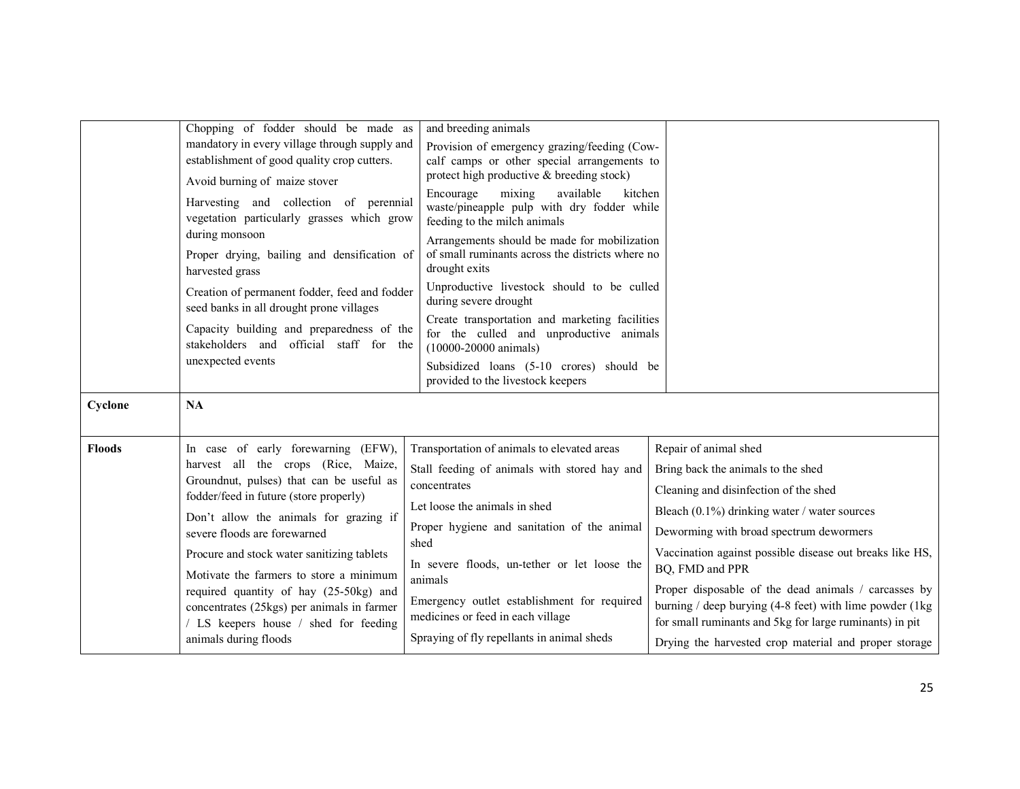|               | Chopping of fodder should be made as                                                                                          | and breeding animals                                                                                                           |                                                                                                                                                                             |
|---------------|-------------------------------------------------------------------------------------------------------------------------------|--------------------------------------------------------------------------------------------------------------------------------|-----------------------------------------------------------------------------------------------------------------------------------------------------------------------------|
|               | mandatory in every village through supply and                                                                                 | Provision of emergency grazing/feeding (Cow-                                                                                   |                                                                                                                                                                             |
|               | establishment of good quality crop cutters.                                                                                   | calf camps or other special arrangements to                                                                                    |                                                                                                                                                                             |
|               | Avoid burning of maize stover                                                                                                 | protect high productive & breeding stock)                                                                                      |                                                                                                                                                                             |
|               | Harvesting and collection of perennial<br>vegetation particularly grasses which grow<br>during monsoon                        | mixing<br>available<br>Encourage<br>kitchen<br>waste/pineapple pulp with dry fodder while<br>feeding to the milch animals      |                                                                                                                                                                             |
|               | Proper drying, bailing and densification of<br>harvested grass                                                                | Arrangements should be made for mobilization<br>of small ruminants across the districts where no<br>drought exits              |                                                                                                                                                                             |
|               | Creation of permanent fodder, feed and fodder<br>seed banks in all drought prone villages                                     | Unproductive livestock should to be culled<br>during severe drought                                                            |                                                                                                                                                                             |
|               | Capacity building and preparedness of the<br>stakeholders and official staff for the                                          | Create transportation and marketing facilities<br>for the culled and unproductive animals<br>$(10000 - 20000 \text{ animals})$ |                                                                                                                                                                             |
|               | unexpected events                                                                                                             | Subsidized loans (5-10 crores) should be<br>provided to the livestock keepers                                                  |                                                                                                                                                                             |
| Cyclone       | NA                                                                                                                            |                                                                                                                                |                                                                                                                                                                             |
| <b>Floods</b> | In case of early forewarning (EFW),                                                                                           | Transportation of animals to elevated areas                                                                                    | Repair of animal shed                                                                                                                                                       |
|               | harvest all the crops (Rice, Maize,                                                                                           | Stall feeding of animals with stored hay and                                                                                   | Bring back the animals to the shed                                                                                                                                          |
|               | Groundnut, pulses) that can be useful as<br>fodder/feed in future (store properly)                                            | concentrates                                                                                                                   | Cleaning and disinfection of the shed                                                                                                                                       |
|               | Don't allow the animals for grazing if                                                                                        | Let loose the animals in shed                                                                                                  | Bleach (0.1%) drinking water / water sources                                                                                                                                |
|               | severe floods are forewarned                                                                                                  | Proper hygiene and sanitation of the animal<br>shed                                                                            | Deworming with broad spectrum dewormers                                                                                                                                     |
|               | Procure and stock water sanitizing tablets                                                                                    | In severe floods, un-tether or let loose the                                                                                   | Vaccination against possible disease out breaks like HS,<br>BQ, FMD and PPR                                                                                                 |
|               | Motivate the farmers to store a minimum                                                                                       | animals                                                                                                                        |                                                                                                                                                                             |
|               | required quantity of hay (25-50kg) and<br>concentrates (25kgs) per animals in farmer<br>/ LS keepers house / shed for feeding | Emergency outlet establishment for required<br>medicines or feed in each village                                               | Proper disposable of the dead animals / carcasses by<br>burning / deep burying (4-8 feet) with lime powder (1kg)<br>for small ruminants and 5kg for large ruminants) in pit |
|               | animals during floods                                                                                                         | Spraying of fly repellants in animal sheds                                                                                     | Drying the harvested crop material and proper storage                                                                                                                       |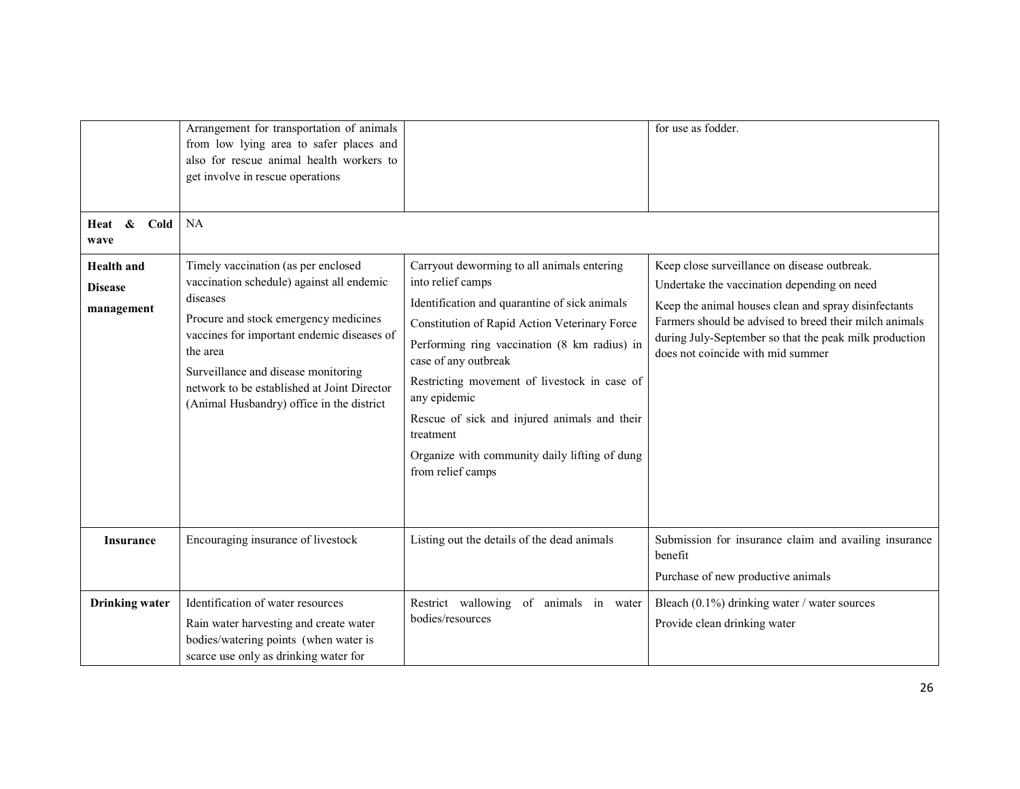| Heat &<br>Cold<br>wave                            | Arrangement for transportation of animals<br>from low lying area to safer places and<br>also for rescue animal health workers to<br>get involve in rescue operations<br>NA                                                                                                                                                         |                                                                                                                                                                                                                                                                                                                                                                                                                                              | for use as fodder.                                                                                                                                                                                                                                                                                           |
|---------------------------------------------------|------------------------------------------------------------------------------------------------------------------------------------------------------------------------------------------------------------------------------------------------------------------------------------------------------------------------------------|----------------------------------------------------------------------------------------------------------------------------------------------------------------------------------------------------------------------------------------------------------------------------------------------------------------------------------------------------------------------------------------------------------------------------------------------|--------------------------------------------------------------------------------------------------------------------------------------------------------------------------------------------------------------------------------------------------------------------------------------------------------------|
| <b>Health</b> and<br><b>Disease</b><br>management | Timely vaccination (as per enclosed<br>vaccination schedule) against all endemic<br>diseases<br>Procure and stock emergency medicines<br>vaccines for important endemic diseases of<br>the area<br>Surveillance and disease monitoring<br>network to be established at Joint Director<br>(Animal Husbandry) office in the district | Carryout deworming to all animals entering<br>into relief camps<br>Identification and quarantine of sick animals<br>Constitution of Rapid Action Veterinary Force<br>Performing ring vaccination (8 km radius) in<br>case of any outbreak<br>Restricting movement of livestock in case of<br>any epidemic<br>Rescue of sick and injured animals and their<br>treatment<br>Organize with community daily lifting of dung<br>from relief camps | Keep close surveillance on disease outbreak.<br>Undertake the vaccination depending on need<br>Keep the animal houses clean and spray disinfectants<br>Farmers should be advised to breed their milch animals<br>during July-September so that the peak milk production<br>does not coincide with mid summer |
| <b>Insurance</b>                                  | Encouraging insurance of livestock                                                                                                                                                                                                                                                                                                 | Listing out the details of the dead animals                                                                                                                                                                                                                                                                                                                                                                                                  | Submission for insurance claim and availing insurance<br>benefit<br>Purchase of new productive animals                                                                                                                                                                                                       |
| <b>Drinking</b> water                             | Identification of water resources<br>Rain water harvesting and create water<br>bodies/watering points (when water is<br>scarce use only as drinking water for                                                                                                                                                                      | Restrict wallowing of animals in water<br>bodies/resources                                                                                                                                                                                                                                                                                                                                                                                   | Bleach $(0.1\%)$ drinking water / water sources<br>Provide clean drinking water                                                                                                                                                                                                                              |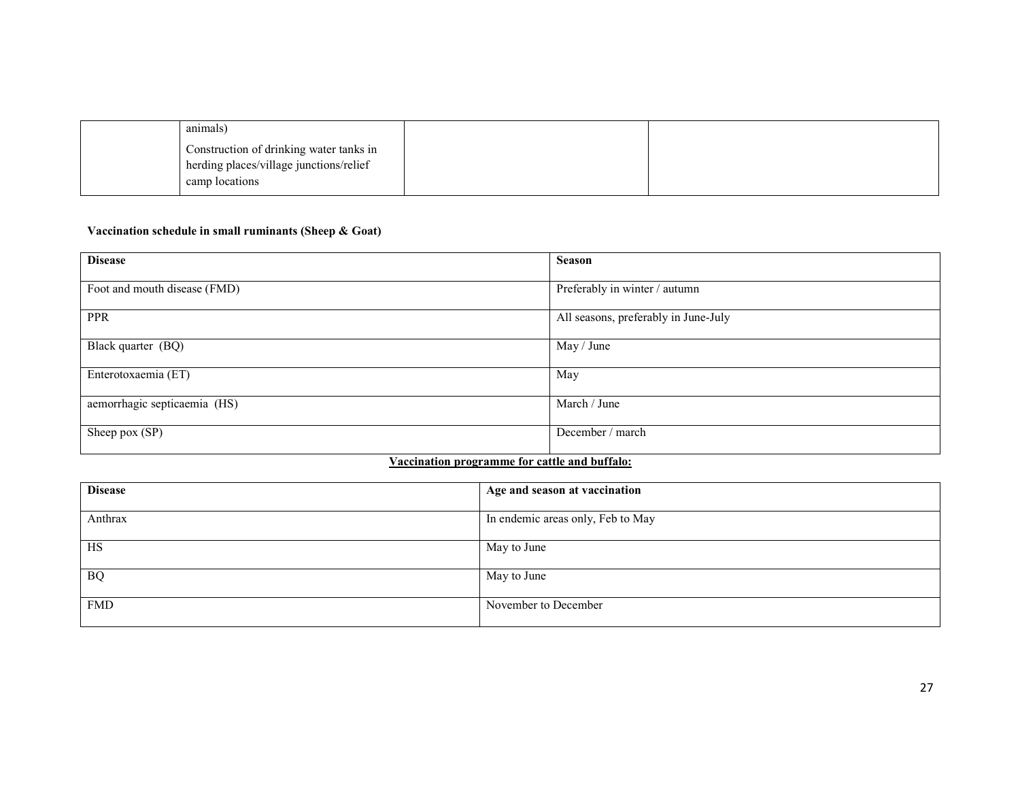| animals)                                                                           |  |
|------------------------------------------------------------------------------------|--|
| Construction of drinking water tanks in<br>herding places/village junctions/relief |  |
| camp locations                                                                     |  |

#### Vaccination schedule in small ruminants (Sheep & Goat)

| <b>Disease</b>               | <b>Season</b>                        |
|------------------------------|--------------------------------------|
| Foot and mouth disease (FMD) | Preferably in winter / autumn        |
| <b>PPR</b>                   | All seasons, preferably in June-July |
| Black quarter (BQ)           | May / June                           |
| Enterotoxaemia (ET)          | May                                  |
| aemorrhagic septicaemia (HS) | March / June                         |
| Sheep pox (SP)               | December / march                     |

## Vaccination programme for cattle and buffalo:

| <b>Disease</b> | Age and season at vaccination     |
|----------------|-----------------------------------|
| Anthrax        | In endemic areas only, Feb to May |
| HS             | May to June                       |
| <b>BQ</b>      | May to June                       |
| <b>FMD</b>     | November to December              |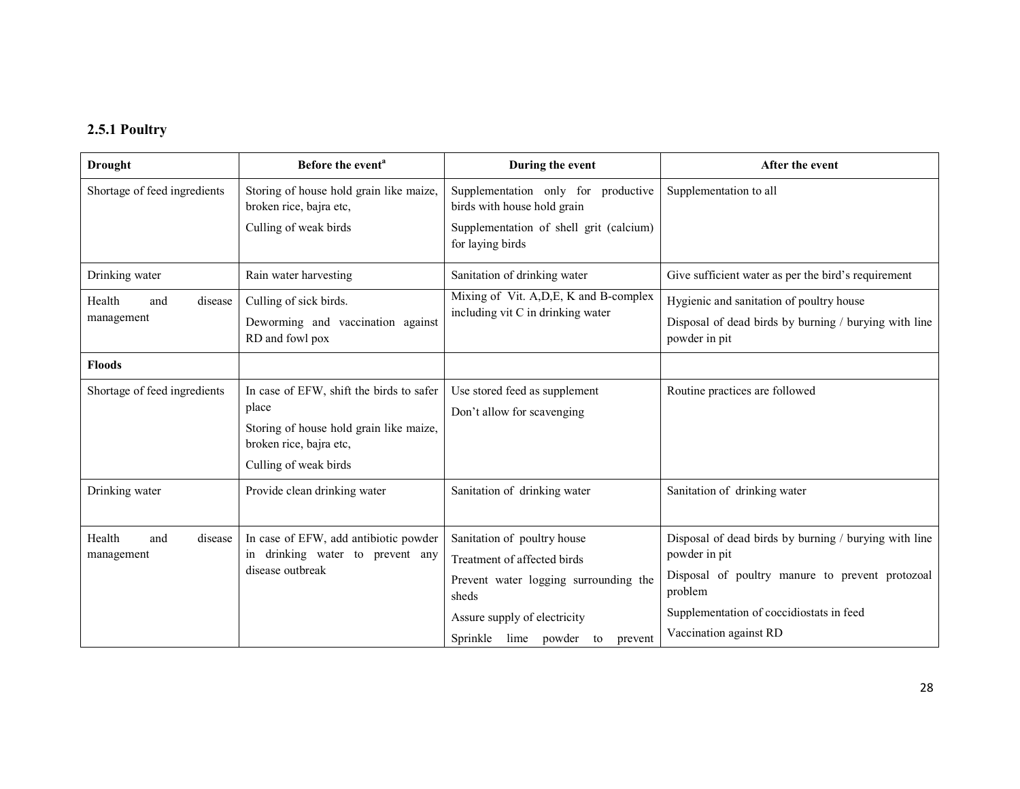### 2.5.1 Poultry

| <b>Drought</b>                         | Before the event <sup>a</sup>                                                                                                                    | During the event                                                                                                                             | After the event                                                                                                                                                                  |
|----------------------------------------|--------------------------------------------------------------------------------------------------------------------------------------------------|----------------------------------------------------------------------------------------------------------------------------------------------|----------------------------------------------------------------------------------------------------------------------------------------------------------------------------------|
| Shortage of feed ingredients           | Storing of house hold grain like maize,<br>broken rice, bajra etc,                                                                               | Supplementation only for productive<br>birds with house hold grain                                                                           | Supplementation to all                                                                                                                                                           |
|                                        | Culling of weak birds                                                                                                                            | Supplementation of shell grit (calcium)<br>for laying birds                                                                                  |                                                                                                                                                                                  |
| Drinking water                         | Rain water harvesting                                                                                                                            | Sanitation of drinking water                                                                                                                 | Give sufficient water as per the bird's requirement                                                                                                                              |
| Health<br>disease<br>and<br>management | Culling of sick birds.<br>Deworming and vaccination against<br>RD and fowl pox                                                                   | Mixing of Vit. A, D, E, K and B-complex<br>including vit C in drinking water                                                                 | Hygienic and sanitation of poultry house<br>Disposal of dead birds by burning / burying with line<br>powder in pit                                                               |
| <b>Floods</b>                          |                                                                                                                                                  |                                                                                                                                              |                                                                                                                                                                                  |
| Shortage of feed ingredients           | In case of EFW, shift the birds to safer<br>place<br>Storing of house hold grain like maize,<br>broken rice, bajra etc,<br>Culling of weak birds | Use stored feed as supplement<br>Don't allow for scavenging                                                                                  | Routine practices are followed                                                                                                                                                   |
| Drinking water                         | Provide clean drinking water                                                                                                                     | Sanitation of drinking water                                                                                                                 | Sanitation of drinking water                                                                                                                                                     |
| Health<br>disease<br>and<br>management | In case of EFW, add antibiotic powder<br>in drinking water to prevent any<br>disease outbreak                                                    | Sanitation of poultry house<br>Treatment of affected birds<br>Prevent water logging surrounding the<br>sheds<br>Assure supply of electricity | Disposal of dead birds by burning / burying with line<br>powder in pit<br>Disposal of poultry manure to prevent protozoal<br>problem<br>Supplementation of coccidiostats in feed |
|                                        |                                                                                                                                                  | Sprinkle lime powder to<br>prevent                                                                                                           | Vaccination against RD                                                                                                                                                           |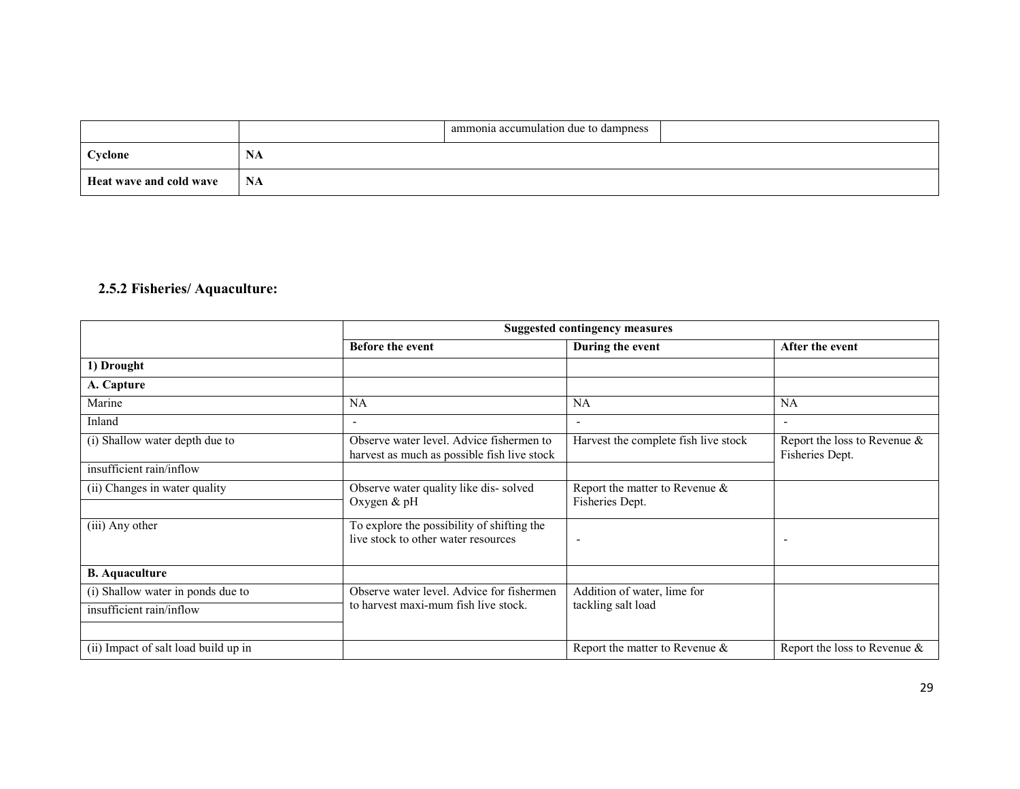|                         |      | ammonia accumulation due to dampness |  |
|-------------------------|------|--------------------------------------|--|
| Cyclone                 | IYA  |                                      |  |
| Heat wave and cold wave | - NA |                                      |  |

## 2.5.2 Fisheries/ Aquaculture:

|                                      | <b>Suggested contingency measures</b>                                                   |                                                   |                                                    |  |
|--------------------------------------|-----------------------------------------------------------------------------------------|---------------------------------------------------|----------------------------------------------------|--|
|                                      | <b>Before the event</b>                                                                 | During the event                                  | After the event                                    |  |
| 1) Drought                           |                                                                                         |                                                   |                                                    |  |
| A. Capture                           |                                                                                         |                                                   |                                                    |  |
| Marine                               | <b>NA</b>                                                                               | <b>NA</b>                                         | <b>NA</b>                                          |  |
| Inland                               |                                                                                         | ٠                                                 | ۰                                                  |  |
| (i) Shallow water depth due to       | Observe water level. Advice fishermen to<br>harvest as much as possible fish live stock | Harvest the complete fish live stock              | Report the loss to Revenue $\&$<br>Fisheries Dept. |  |
| insufficient rain/inflow             |                                                                                         |                                                   |                                                    |  |
| (ii) Changes in water quality        | Observe water quality like dis-solved<br>Oxygen & pH                                    | Report the matter to Revenue &<br>Fisheries Dept. |                                                    |  |
| (iii) Any other                      | To explore the possibility of shifting the<br>live stock to other water resources       | $\overline{\phantom{a}}$                          | -                                                  |  |
| <b>B.</b> Aquaculture                |                                                                                         |                                                   |                                                    |  |
| (i) Shallow water in ponds due to    | Observe water level. Advice for fishermen                                               | Addition of water, lime for                       |                                                    |  |
| insufficient rain/inflow             | to harvest maxi-mum fish live stock.                                                    | tackling salt load                                |                                                    |  |
| (ii) Impact of salt load build up in |                                                                                         | Report the matter to Revenue $\&$                 | Report the loss to Revenue $\&$                    |  |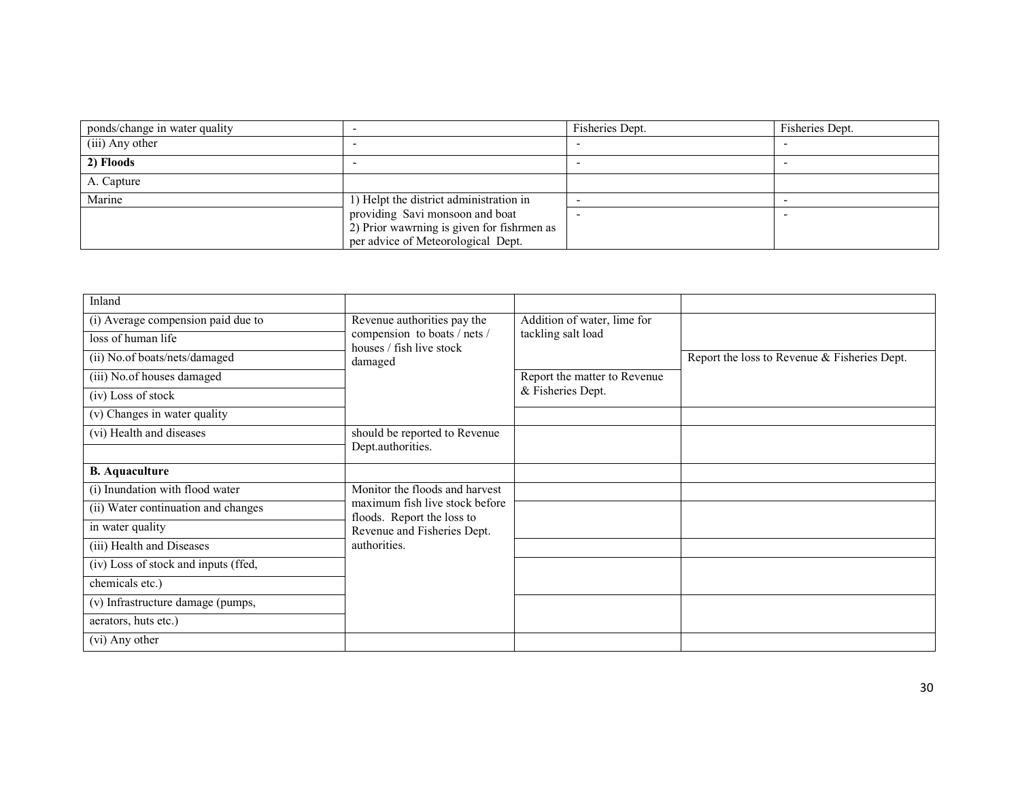| ponds/change in water quality |                                            | Fisheries Dept. | Fisheries Dept. |
|-------------------------------|--------------------------------------------|-----------------|-----------------|
| (iii) Any other               |                                            |                 |                 |
| 2) Floods                     |                                            |                 |                 |
| A. Capture                    |                                            |                 |                 |
| Marine                        | 1) Helpt the district administration in    |                 |                 |
|                               | providing Savi monsoon and boat            |                 |                 |
|                               | 2) Prior wawrning is given for fishrmen as |                 |                 |
|                               | per advice of Meteorological Dept.         |                 |                 |

| Inland                               |                                                                                                                                               |                                                   |                                              |
|--------------------------------------|-----------------------------------------------------------------------------------------------------------------------------------------------|---------------------------------------------------|----------------------------------------------|
| (i) Average compension paid due to   | Revenue authorities pay the<br>compension to boats / nets /<br>houses / fish live stock<br>damaged                                            | Addition of water, lime for<br>tackling salt load |                                              |
| loss of human life                   |                                                                                                                                               |                                                   |                                              |
| (ii) No.of boats/nets/damaged        |                                                                                                                                               |                                                   | Report the loss to Revenue & Fisheries Dept. |
| (iii) No.of houses damaged           |                                                                                                                                               | Report the matter to Revenue<br>& Fisheries Dept. |                                              |
| (iv) Loss of stock                   |                                                                                                                                               |                                                   |                                              |
| (v) Changes in water quality         |                                                                                                                                               |                                                   |                                              |
| (vi) Health and diseases             | should be reported to Revenue                                                                                                                 |                                                   |                                              |
|                                      | Dept.authorities.                                                                                                                             |                                                   |                                              |
| <b>B.</b> Aquaculture                |                                                                                                                                               |                                                   |                                              |
| (i) Inundation with flood water      | Monitor the floods and harvest<br>maximum fish live stock before<br>floods. Report the loss to<br>Revenue and Fisheries Dept.<br>authorities. |                                                   |                                              |
| (ii) Water continuation and changes  |                                                                                                                                               |                                                   |                                              |
| in water quality                     |                                                                                                                                               |                                                   |                                              |
| (iii) Health and Diseases            |                                                                                                                                               |                                                   |                                              |
| (iv) Loss of stock and inputs (ffed, |                                                                                                                                               |                                                   |                                              |
| chemicals etc.)                      |                                                                                                                                               |                                                   |                                              |
| (v) Infrastructure damage (pumps,    |                                                                                                                                               |                                                   |                                              |
| aerators, huts etc.)                 |                                                                                                                                               |                                                   |                                              |
| (vi) Any other                       |                                                                                                                                               |                                                   |                                              |